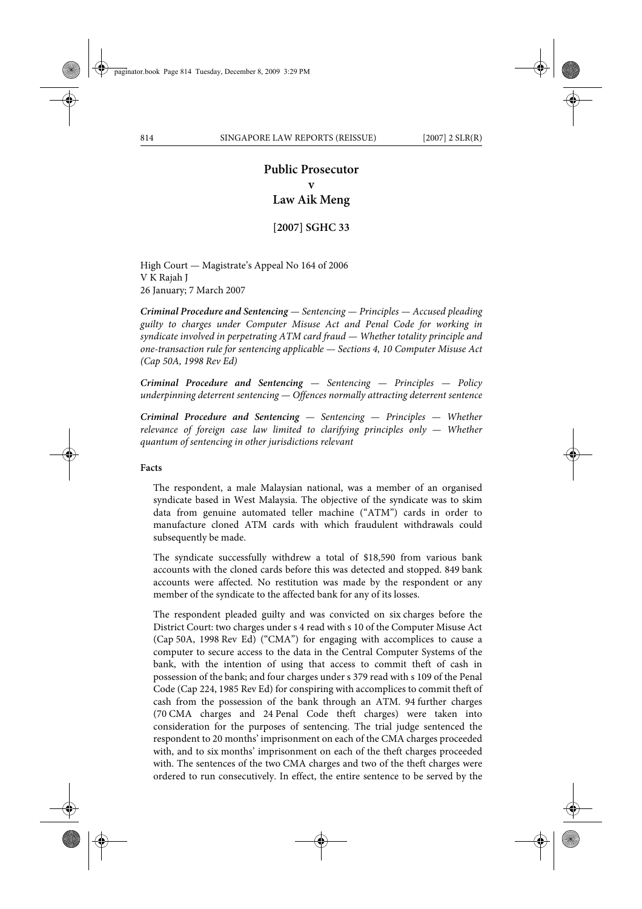# **Public Prosecutor v Law Aik Meng**

**[2007] SGHC 33**

High Court — Magistrate's Appeal No 164 of 2006 V K Rajah J 26 January; 7 March 2007

*Criminal Procedure and Sentencing — Sentencing — Principles — Accused pleading guilty to charges under Computer Misuse Act and Penal Code for working in syndicate involved in perpetrating ATM card fraud — Whether totality principle and one-transaction rule for sentencing applicable — Sections 4, 10 Computer Misuse Act (Cap 50A, 1998 Rev Ed)*

*Criminal Procedure and Sentencing — Sentencing — Principles — Policy underpinning deterrent sentencing — Offences normally attracting deterrent sentence*

*Criminal Procedure and Sentencing — Sentencing — Principles — Whether relevance of foreign case law limited to clarifying principles only — Whether quantum of sentencing in other jurisdictions relevant*

#### **Facts**

The respondent, a male Malaysian national, was a member of an organised syndicate based in West Malaysia. The objective of the syndicate was to skim data from genuine automated teller machine ("ATM") cards in order to manufacture cloned ATM cards with which fraudulent withdrawals could subsequently be made.

The syndicate successfully withdrew a total of \$18,590 from various bank accounts with the cloned cards before this was detected and stopped. 849 bank accounts were affected. No restitution was made by the respondent or any member of the syndicate to the affected bank for any of its losses.

The respondent pleaded guilty and was convicted on six charges before the District Court: two charges under s 4 read with s 10 of the Computer Misuse Act (Cap 50A, 1998 Rev Ed) ("CMA") for engaging with accomplices to cause a computer to secure access to the data in the Central Computer Systems of the bank, with the intention of using that access to commit theft of cash in possession of the bank; and four charges under s 379 read with s 109 of the Penal Code (Cap 224, 1985 Rev Ed) for conspiring with accomplices to commit theft of cash from the possession of the bank through an ATM. 94 further charges (70 CMA charges and 24 Penal Code theft charges) were taken into consideration for the purposes of sentencing. The trial judge sentenced the respondent to 20 months' imprisonment on each of the CMA charges proceeded with, and to six months' imprisonment on each of the theft charges proceeded with. The sentences of the two CMA charges and two of the theft charges were ordered to run consecutively. In effect, the entire sentence to be served by the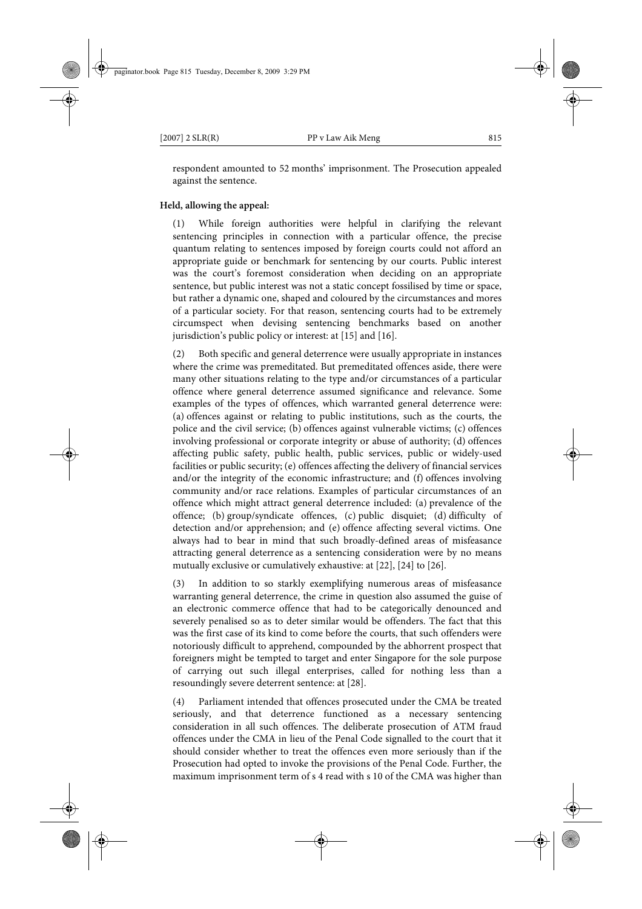respondent amounted to 52 months' imprisonment. The Prosecution appealed against the sentence.

#### **Held, allowing the appeal:**

(1) While foreign authorities were helpful in clarifying the relevant sentencing principles in connection with a particular offence, the precise quantum relating to sentences imposed by foreign courts could not afford an appropriate guide or benchmark for sentencing by our courts. Public interest was the court's foremost consideration when deciding on an appropriate sentence, but public interest was not a static concept fossilised by time or space, but rather a dynamic one, shaped and coloured by the circumstances and mores of a particular society. For that reason, sentencing courts had to be extremely circumspect when devising sentencing benchmarks based on another jurisdiction's public policy or interest: at [15] and [16].

(2) Both specific and general deterrence were usually appropriate in instances where the crime was premeditated. But premeditated offences aside, there were many other situations relating to the type and/or circumstances of a particular offence where general deterrence assumed significance and relevance. Some examples of the types of offences, which warranted general deterrence were: (a) offences against or relating to public institutions, such as the courts, the police and the civil service; (b) offences against vulnerable victims; (c) offences involving professional or corporate integrity or abuse of authority; (d) offences affecting public safety, public health, public services, public or widely-used facilities or public security; (e) offences affecting the delivery of financial services and/or the integrity of the economic infrastructure; and (f) offences involving community and/or race relations. Examples of particular circumstances of an offence which might attract general deterrence included: (a) prevalence of the offence; (b) group/syndicate offences, (c) public disquiet; (d) difficulty of detection and/or apprehension; and (e) offence affecting several victims. One always had to bear in mind that such broadly-defined areas of misfeasance attracting general deterrence as a sentencing consideration were by no means mutually exclusive or cumulatively exhaustive: at [22], [24] to [26].

(3) In addition to so starkly exemplifying numerous areas of misfeasance warranting general deterrence, the crime in question also assumed the guise of an electronic commerce offence that had to be categorically denounced and severely penalised so as to deter similar would be offenders. The fact that this was the first case of its kind to come before the courts, that such offenders were notoriously difficult to apprehend, compounded by the abhorrent prospect that foreigners might be tempted to target and enter Singapore for the sole purpose of carrying out such illegal enterprises, called for nothing less than a resoundingly severe deterrent sentence: at [28].

(4) Parliament intended that offences prosecuted under the CMA be treated seriously, and that deterrence functioned as a necessary sentencing consideration in all such offences. The deliberate prosecution of ATM fraud offences under the CMA in lieu of the Penal Code signalled to the court that it should consider whether to treat the offences even more seriously than if the Prosecution had opted to invoke the provisions of the Penal Code. Further, the maximum imprisonment term of s 4 read with s 10 of the CMA was higher than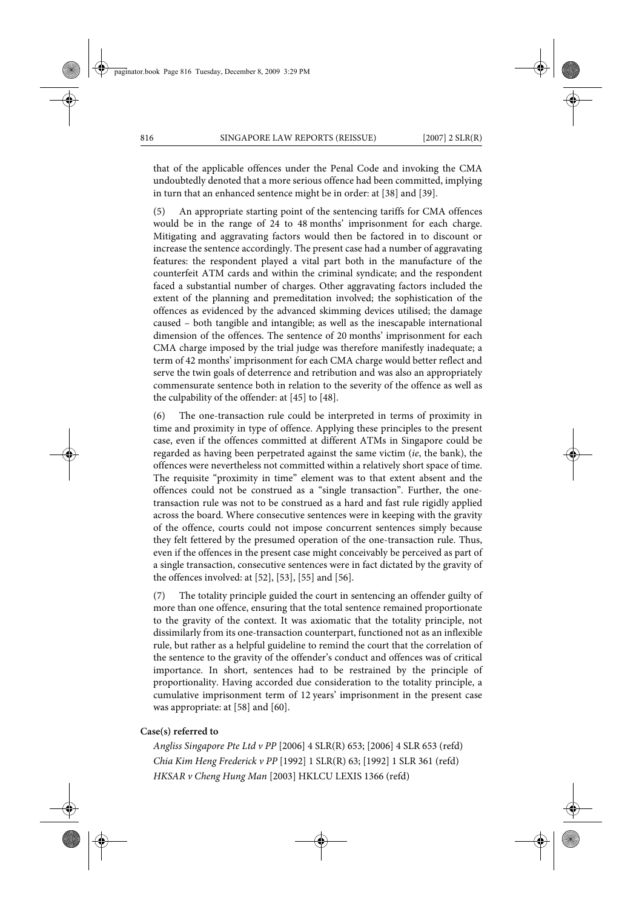that of the applicable offences under the Penal Code and invoking the CMA undoubtedly denoted that a more serious offence had been committed, implying in turn that an enhanced sentence might be in order: at [38] and [39].

(5) An appropriate starting point of the sentencing tariffs for CMA offences would be in the range of 24 to 48 months' imprisonment for each charge. Mitigating and aggravating factors would then be factored in to discount or increase the sentence accordingly. The present case had a number of aggravating features: the respondent played a vital part both in the manufacture of the counterfeit ATM cards and within the criminal syndicate; and the respondent faced a substantial number of charges. Other aggravating factors included the extent of the planning and premeditation involved; the sophistication of the offences as evidenced by the advanced skimming devices utilised; the damage caused – both tangible and intangible; as well as the inescapable international dimension of the offences. The sentence of 20 months' imprisonment for each CMA charge imposed by the trial judge was therefore manifestly inadequate; a term of 42 months' imprisonment for each CMA charge would better reflect and serve the twin goals of deterrence and retribution and was also an appropriately commensurate sentence both in relation to the severity of the offence as well as the culpability of the offender: at [45] to [48].

(6) The one-transaction rule could be interpreted in terms of proximity in time and proximity in type of offence. Applying these principles to the present case, even if the offences committed at different ATMs in Singapore could be regarded as having been perpetrated against the same victim (*ie*, the bank), the offences were nevertheless not committed within a relatively short space of time. The requisite "proximity in time" element was to that extent absent and the offences could not be construed as a "single transaction". Further, the onetransaction rule was not to be construed as a hard and fast rule rigidly applied across the board. Where consecutive sentences were in keeping with the gravity of the offence, courts could not impose concurrent sentences simply because they felt fettered by the presumed operation of the one-transaction rule. Thus, even if the offences in the present case might conceivably be perceived as part of a single transaction, consecutive sentences were in fact dictated by the gravity of the offences involved: at [52], [53], [55] and [56].

(7) The totality principle guided the court in sentencing an offender guilty of more than one offence, ensuring that the total sentence remained proportionate to the gravity of the context. It was axiomatic that the totality principle, not dissimilarly from its one-transaction counterpart, functioned not as an inflexible rule, but rather as a helpful guideline to remind the court that the correlation of the sentence to the gravity of the offender's conduct and offences was of critical importance. In short, sentences had to be restrained by the principle of proportionality. Having accorded due consideration to the totality principle, a cumulative imprisonment term of 12 years' imprisonment in the present case was appropriate: at [58] and [60].

#### **Case(s) referred to**

*Angliss Singapore Pte Ltd v PP* [2006] 4 SLR(R) 653; [2006] 4 SLR 653 (refd) *Chia Kim Heng Frederick v PP* [1992] 1 SLR(R) 63; [1992] 1 SLR 361 (refd) *HKSAR v Cheng Hung Man* [2003] HKLCU LEXIS 1366 (refd)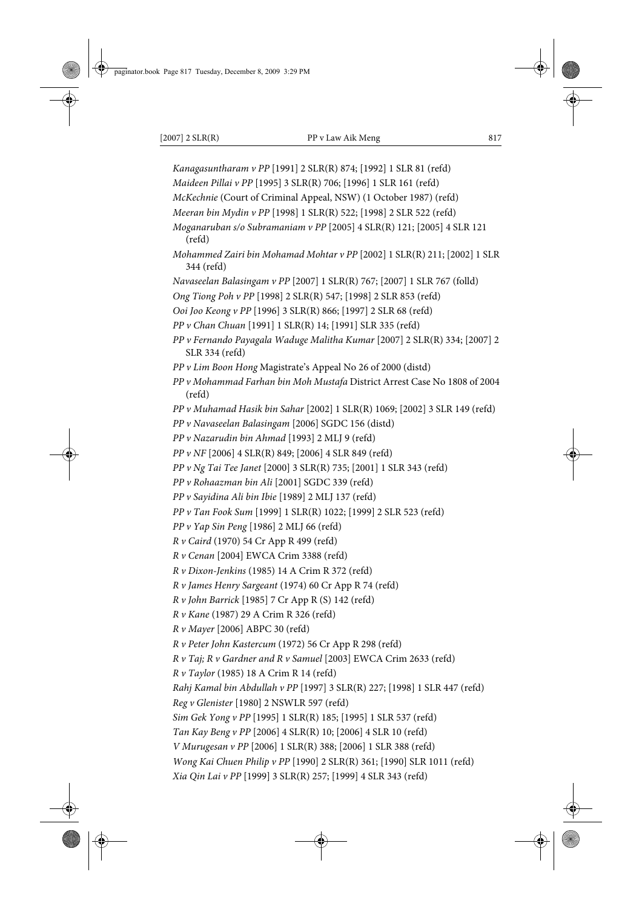*Kanagasuntharam v PP* [1991] 2 SLR(R) 874; [1992] 1 SLR 81 (refd) *Maideen Pillai v PP* [1995] 3 SLR(R) 706; [1996] 1 SLR 161 (refd) *McKechnie* (Court of Criminal Appeal, NSW) (1 October 1987) (refd) *Meeran bin Mydin v PP* [1998] 1 SLR(R) 522; [1998] 2 SLR 522 (refd) *Moganaruban s/o Subramaniam v PP* [2005] 4 SLR(R) 121; [2005] 4 SLR 121 (refd) *Mohammed Zairi bin Mohamad Mohtar v PP* [2002] 1 SLR(R) 211; [2002] 1 SLR 344 (refd) *Navaseelan Balasingam v PP* [2007] 1 SLR(R) 767; [2007] 1 SLR 767 (folld) *Ong Tiong Poh v PP* [1998] 2 SLR(R) 547; [1998] 2 SLR 853 (refd) *Ooi Joo Keong v PP* [1996] 3 SLR(R) 866; [1997] 2 SLR 68 (refd) *PP v Chan Chuan* [1991] 1 SLR(R) 14; [1991] SLR 335 (refd) *PP v Fernando Payagala Waduge Malitha Kumar* [2007] 2 SLR(R) 334; [2007] 2 SLR 334 (refd) *PP v Lim Boon Hong* Magistrate's Appeal No 26 of 2000 (distd) *PP v Mohammad Farhan bin Moh Mustafa* District Arrest Case No 1808 of 2004 (refd) *PP v Muhamad Hasik bin Sahar* [2002] 1 SLR(R) 1069; [2002] 3 SLR 149 (refd) *PP v Navaseelan Balasingam* [2006] SGDC 156 (distd) *PP v Nazarudin bin Ahmad* [1993] 2 MLJ 9 (refd) *PP v NF* [2006] 4 SLR(R) 849; [2006] 4 SLR 849 (refd) *PP v Ng Tai Tee Janet* [2000] 3 SLR(R) 735; [2001] 1 SLR 343 (refd) *PP v Rohaazman bin Ali* [2001] SGDC 339 (refd) *PP v Sayidina Ali bin Ibie* [1989] 2 MLJ 137 (refd) *PP v Tan Fook Sum* [1999] 1 SLR(R) 1022; [1999] 2 SLR 523 (refd) *PP v Yap Sin Peng* [1986] 2 MLJ 66 (refd) *R v Caird* (1970) 54 Cr App R 499 (refd) *R v Cenan* [2004] EWCA Crim 3388 (refd) *R v Dixon-Jenkins* (1985) 14 A Crim R 372 (refd) *R v James Henry Sargeant* (1974) 60 Cr App R 74 (refd) *R v John Barrick* [1985] 7 Cr App R (S) 142 (refd) *R v Kane* (1987) 29 A Crim R 326 (refd) *R v Mayer* [2006] ABPC 30 (refd) *R v Peter John Kastercum* (1972) 56 Cr App R 298 (refd) *R v Taj; R v Gardner and R v Samuel* [2003] EWCA Crim 2633 (refd) *R v Taylor* (1985) 18 A Crim R 14 (refd) *Rahj Kamal bin Abdullah v PP* [1997] 3 SLR(R) 227; [1998] 1 SLR 447 (refd) *Reg v Glenister* [1980] 2 NSWLR 597 (refd) *Sim Gek Yong v PP* [1995] 1 SLR(R) 185; [1995] 1 SLR 537 (refd) *Tan Kay Beng v PP* [2006] 4 SLR(R) 10; [2006] 4 SLR 10 (refd) *V Murugesan v PP* [2006] 1 SLR(R) 388; [2006] 1 SLR 388 (refd) *Wong Kai Chuen Philip v PP* [1990] 2 SLR(R) 361; [1990] SLR 1011 (refd) *Xia Qin Lai v PP* [1999] 3 SLR(R) 257; [1999] 4 SLR 343 (refd)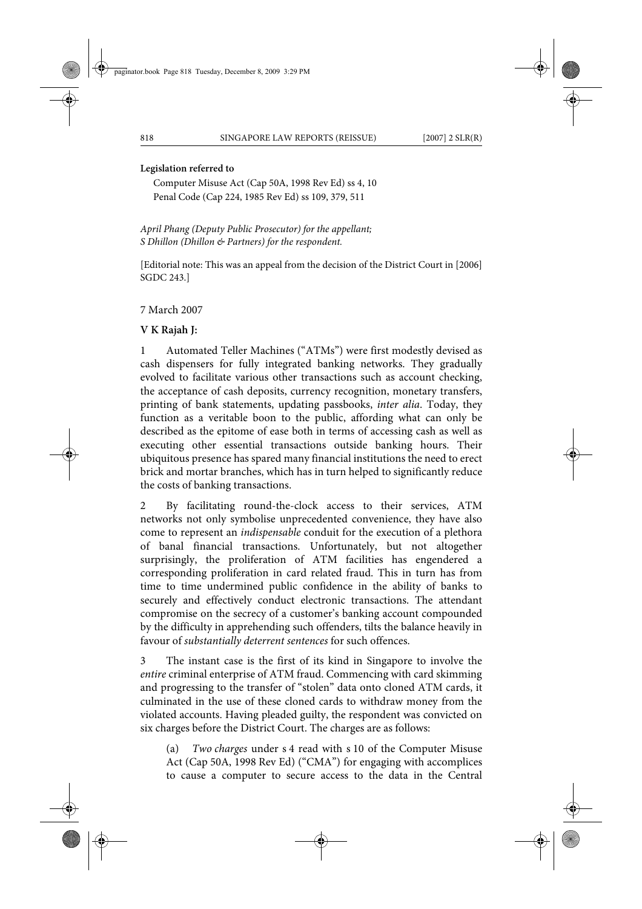#### **Legislation referred to**

Computer Misuse Act (Cap 50A, 1998 Rev Ed) ss 4, 10 Penal Code (Cap 224, 1985 Rev Ed) ss 109, 379, 511

*April Phang (Deputy Public Prosecutor) for the appellant; S Dhillon (Dhillon & Partners) for the respondent.*

[Editorial note: This was an appeal from the decision of the District Court in [2006] SGDC 243.]

7 March 2007

#### **V K Rajah J:**

1 Automated Teller Machines ("ATMs") were first modestly devised as cash dispensers for fully integrated banking networks. They gradually evolved to facilitate various other transactions such as account checking, the acceptance of cash deposits, currency recognition, monetary transfers, printing of bank statements, updating passbooks, *inter alia*. Today, they function as a veritable boon to the public, affording what can only be described as the epitome of ease both in terms of accessing cash as well as executing other essential transactions outside banking hours. Their ubiquitous presence has spared many financial institutions the need to erect brick and mortar branches, which has in turn helped to significantly reduce the costs of banking transactions.

2 By facilitating round-the-clock access to their services, ATM networks not only symbolise unprecedented convenience, they have also come to represent an *indispensable* conduit for the execution of a plethora of banal financial transactions. Unfortunately, but not altogether surprisingly, the proliferation of ATM facilities has engendered a corresponding proliferation in card related fraud. This in turn has from time to time undermined public confidence in the ability of banks to securely and effectively conduct electronic transactions. The attendant compromise on the secrecy of a customer's banking account compounded by the difficulty in apprehending such offenders, tilts the balance heavily in favour of *substantially deterrent sentences* for such offences.

3 The instant case is the first of its kind in Singapore to involve the *entire* criminal enterprise of ATM fraud. Commencing with card skimming and progressing to the transfer of "stolen" data onto cloned ATM cards, it culminated in the use of these cloned cards to withdraw money from the violated accounts. Having pleaded guilty, the respondent was convicted on six charges before the District Court. The charges are as follows:

(a) *Two charges* under s 4 read with s 10 of the Computer Misuse Act (Cap 50A, 1998 Rev Ed) ("CMA") for engaging with accomplices to cause a computer to secure access to the data in the Central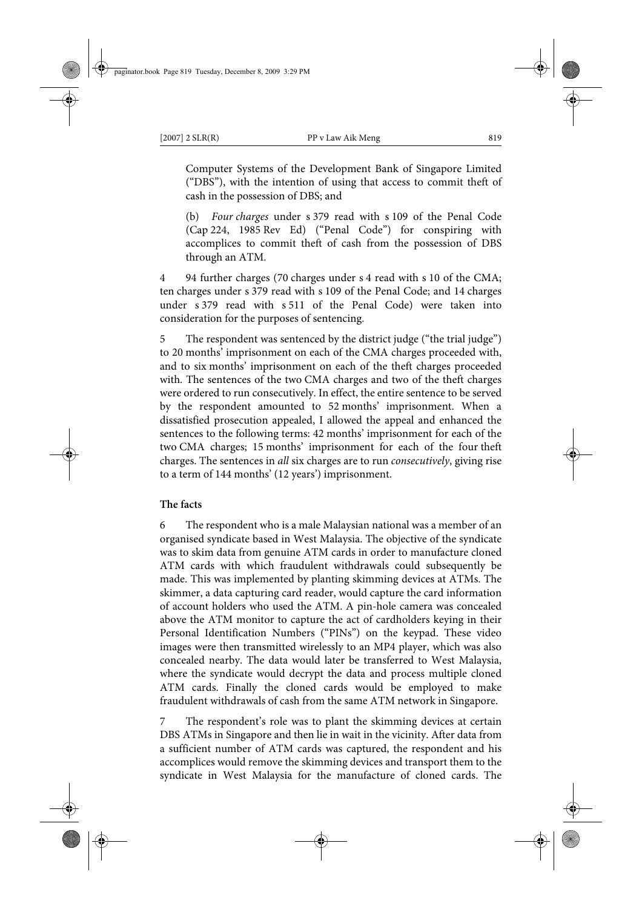Computer Systems of the Development Bank of Singapore Limited ("DBS"), with the intention of using that access to commit theft of cash in the possession of DBS; and

(b) *Four charges* under s 379 read with s 109 of the Penal Code (Cap 224, 1985 Rev Ed) ("Penal Code") for conspiring with accomplices to commit theft of cash from the possession of DBS through an ATM.

4 94 further charges (70 charges under s 4 read with s 10 of the CMA; ten charges under s 379 read with s 109 of the Penal Code; and 14 charges under s 379 read with s 511 of the Penal Code) were taken into consideration for the purposes of sentencing.

5 The respondent was sentenced by the district judge ("the trial judge") to 20 months' imprisonment on each of the CMA charges proceeded with, and to six months' imprisonment on each of the theft charges proceeded with. The sentences of the two CMA charges and two of the theft charges were ordered to run consecutively. In effect, the entire sentence to be served by the respondent amounted to 52 months' imprisonment. When a dissatisfied prosecution appealed, I allowed the appeal and enhanced the sentences to the following terms: 42 months' imprisonment for each of the two CMA charges; 15 months' imprisonment for each of the four theft charges. The sentences in *all* six charges are to run *consecutively*, giving rise to a term of 144 months' (12 years') imprisonment.

# **The facts**

6 The respondent who is a male Malaysian national was a member of an organised syndicate based in West Malaysia. The objective of the syndicate was to skim data from genuine ATM cards in order to manufacture cloned ATM cards with which fraudulent withdrawals could subsequently be made. This was implemented by planting skimming devices at ATMs. The skimmer, a data capturing card reader, would capture the card information of account holders who used the ATM. A pin-hole camera was concealed above the ATM monitor to capture the act of cardholders keying in their Personal Identification Numbers ("PINs") on the keypad. These video images were then transmitted wirelessly to an MP4 player, which was also concealed nearby. The data would later be transferred to West Malaysia, where the syndicate would decrypt the data and process multiple cloned ATM cards. Finally the cloned cards would be employed to make fraudulent withdrawals of cash from the same ATM network in Singapore.

The respondent's role was to plant the skimming devices at certain DBS ATMs in Singapore and then lie in wait in the vicinity. After data from a sufficient number of ATM cards was captured, the respondent and his accomplices would remove the skimming devices and transport them to the syndicate in West Malaysia for the manufacture of cloned cards. The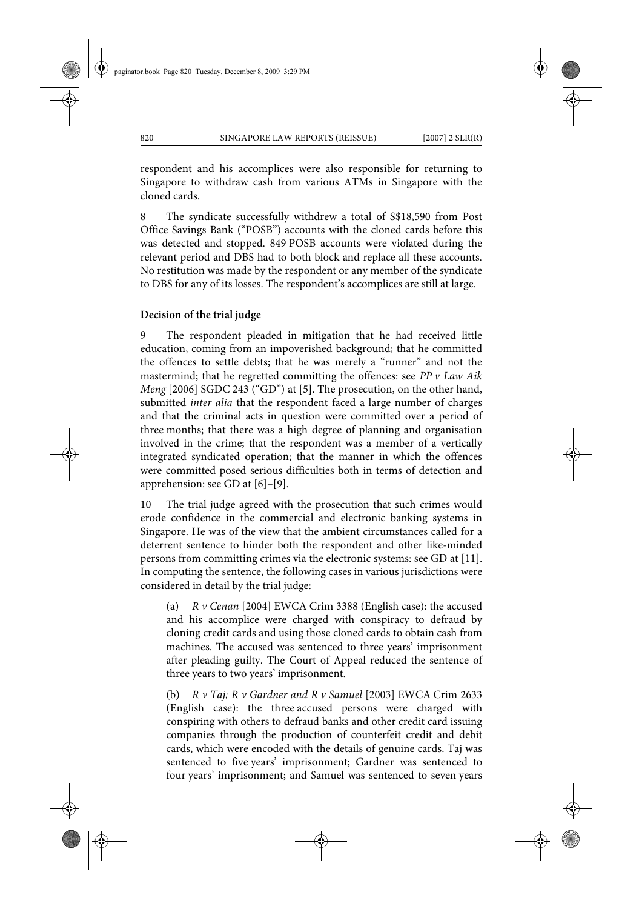respondent and his accomplices were also responsible for returning to Singapore to withdraw cash from various ATMs in Singapore with the cloned cards.

8 The syndicate successfully withdrew a total of S\$18,590 from Post Office Savings Bank ("POSB") accounts with the cloned cards before this was detected and stopped. 849 POSB accounts were violated during the relevant period and DBS had to both block and replace all these accounts. No restitution was made by the respondent or any member of the syndicate to DBS for any of its losses. The respondent's accomplices are still at large.

#### **Decision of the trial judge**

9 The respondent pleaded in mitigation that he had received little education, coming from an impoverished background; that he committed the offences to settle debts; that he was merely a "runner" and not the mastermind; that he regretted committing the offences: see *PP v Law Aik Meng* [2006] SGDC 243 ("GD") at [5]. The prosecution, on the other hand, submitted *inter alia* that the respondent faced a large number of charges and that the criminal acts in question were committed over a period of three months; that there was a high degree of planning and organisation involved in the crime; that the respondent was a member of a vertically integrated syndicated operation; that the manner in which the offences were committed posed serious difficulties both in terms of detection and apprehension: see GD at [6]–[9].

10 The trial judge agreed with the prosecution that such crimes would erode confidence in the commercial and electronic banking systems in Singapore. He was of the view that the ambient circumstances called for a deterrent sentence to hinder both the respondent and other like-minded persons from committing crimes via the electronic systems: see GD at [11]. In computing the sentence, the following cases in various jurisdictions were considered in detail by the trial judge:

(a) *R v Cenan* [2004] EWCA Crim 3388 (English case): the accused and his accomplice were charged with conspiracy to defraud by cloning credit cards and using those cloned cards to obtain cash from machines. The accused was sentenced to three years' imprisonment after pleading guilty. The Court of Appeal reduced the sentence of three years to two years' imprisonment.

(b) *R v Taj; R v Gardner and R v Samuel* [2003] EWCA Crim 2633 (English case): the three accused persons were charged with conspiring with others to defraud banks and other credit card issuing companies through the production of counterfeit credit and debit cards, which were encoded with the details of genuine cards. Taj was sentenced to five years' imprisonment; Gardner was sentenced to four years' imprisonment; and Samuel was sentenced to seven years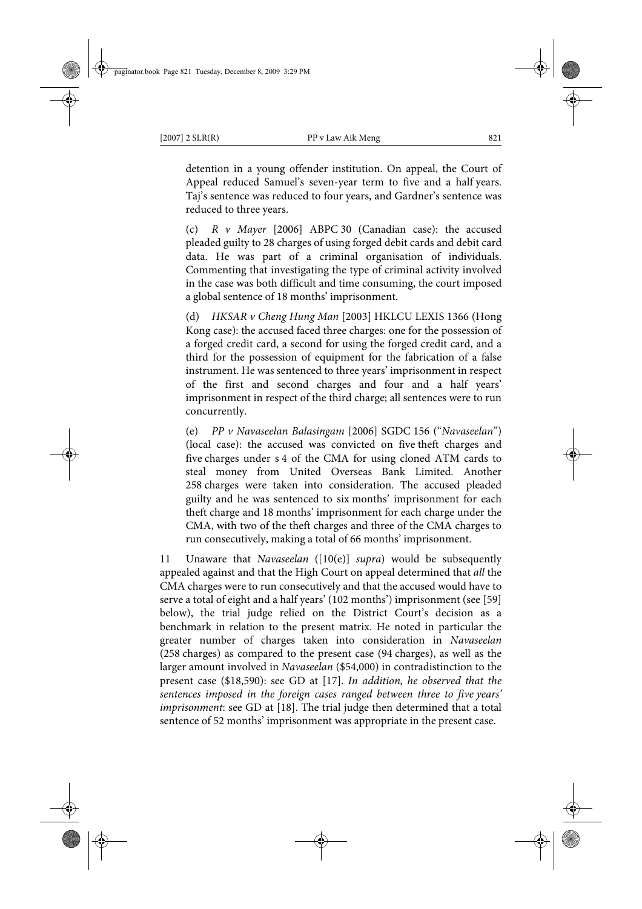detention in a young offender institution. On appeal, the Court of Appeal reduced Samuel's seven-year term to five and a half years. Taj's sentence was reduced to four years, and Gardner's sentence was reduced to three years.

(c) *R v Mayer* [2006] ABPC 30 (Canadian case): the accused pleaded guilty to 28 charges of using forged debit cards and debit card data. He was part of a criminal organisation of individuals. Commenting that investigating the type of criminal activity involved in the case was both difficult and time consuming, the court imposed a global sentence of 18 months' imprisonment.

(d) *HKSAR v Cheng Hung Man* [2003] HKLCU LEXIS 1366 (Hong Kong case): the accused faced three charges: one for the possession of a forged credit card, a second for using the forged credit card, and a third for the possession of equipment for the fabrication of a false instrument. He was sentenced to three years' imprisonment in respect of the first and second charges and four and a half years' imprisonment in respect of the third charge; all sentences were to run concurrently.

(e) *PP v Navaseelan Balasingam* [2006] SGDC 156 ("*Navaseelan*") (local case): the accused was convicted on five theft charges and five charges under s 4 of the CMA for using cloned ATM cards to steal money from United Overseas Bank Limited. Another 258 charges were taken into consideration. The accused pleaded guilty and he was sentenced to six months' imprisonment for each theft charge and 18 months' imprisonment for each charge under the CMA, with two of the theft charges and three of the CMA charges to run consecutively, making a total of 66 months' imprisonment.

11 Unaware that *Navaseelan* ([10(e)] *supra*) would be subsequently appealed against and that the High Court on appeal determined that *all* the CMA charges were to run consecutively and that the accused would have to serve a total of eight and a half years' (102 months') imprisonment (see [59] below), the trial judge relied on the District Court's decision as a benchmark in relation to the present matrix. He noted in particular the greater number of charges taken into consideration in *Navaseelan* (258 charges) as compared to the present case (94 charges), as well as the larger amount involved in *Navaseelan* (\$54,000) in contradistinction to the present case (\$18,590): see GD at [17]. *In addition, he observed that the sentences imposed in the foreign cases ranged between three to five years' imprisonment*: see GD at [18]. The trial judge then determined that a total sentence of 52 months' imprisonment was appropriate in the present case.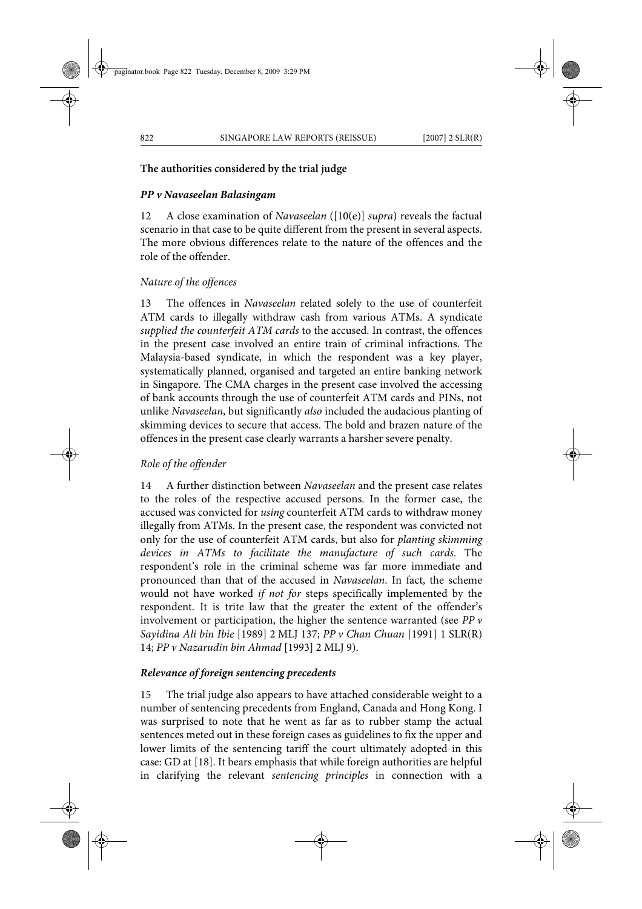# **The authorities considered by the trial judge**

# *PP v Navaseelan Balasingam*

12 A close examination of *Navaseelan* ([10(e)] *supra*) reveals the factual scenario in that case to be quite different from the present in several aspects. The more obvious differences relate to the nature of the offences and the role of the offender.

# *Nature of the offences*

13 The offences in *Navaseelan* related solely to the use of counterfeit ATM cards to illegally withdraw cash from various ATMs. A syndicate *supplied the counterfeit ATM cards* to the accused. In contrast, the offences in the present case involved an entire train of criminal infractions. The Malaysia-based syndicate, in which the respondent was a key player, systematically planned, organised and targeted an entire banking network in Singapore. The CMA charges in the present case involved the accessing of bank accounts through the use of counterfeit ATM cards and PINs, not unlike *Navaseelan*, but significantly *also* included the audacious planting of skimming devices to secure that access. The bold and brazen nature of the offences in the present case clearly warrants a harsher severe penalty.

#### *Role of the offender*

14 A further distinction between *Navaseelan* and the present case relates to the roles of the respective accused persons. In the former case, the accused was convicted for *using* counterfeit ATM cards to withdraw money illegally from ATMs. In the present case, the respondent was convicted not only for the use of counterfeit ATM cards, but also for *planting skimming devices in ATMs to facilitate the manufacture of such cards*. The respondent's role in the criminal scheme was far more immediate and pronounced than that of the accused in *Navaseelan*. In fact, the scheme would not have worked *if not for* steps specifically implemented by the respondent. It is trite law that the greater the extent of the offender's involvement or participation, the higher the sentence warranted (see *PP v Sayidina Ali bin Ibie* [1989] 2 MLJ 137; *PP v Chan Chuan* [1991] 1 SLR(R) 14; *PP v Nazarudin bin Ahmad* [1993] 2 MLJ 9).

#### *Relevance of foreign sentencing precedents*

15 The trial judge also appears to have attached considerable weight to a number of sentencing precedents from England, Canada and Hong Kong. I was surprised to note that he went as far as to rubber stamp the actual sentences meted out in these foreign cases as guidelines to fix the upper and lower limits of the sentencing tariff the court ultimately adopted in this case: GD at [18]. It bears emphasis that while foreign authorities are helpful in clarifying the relevant *sentencing principles* in connection with a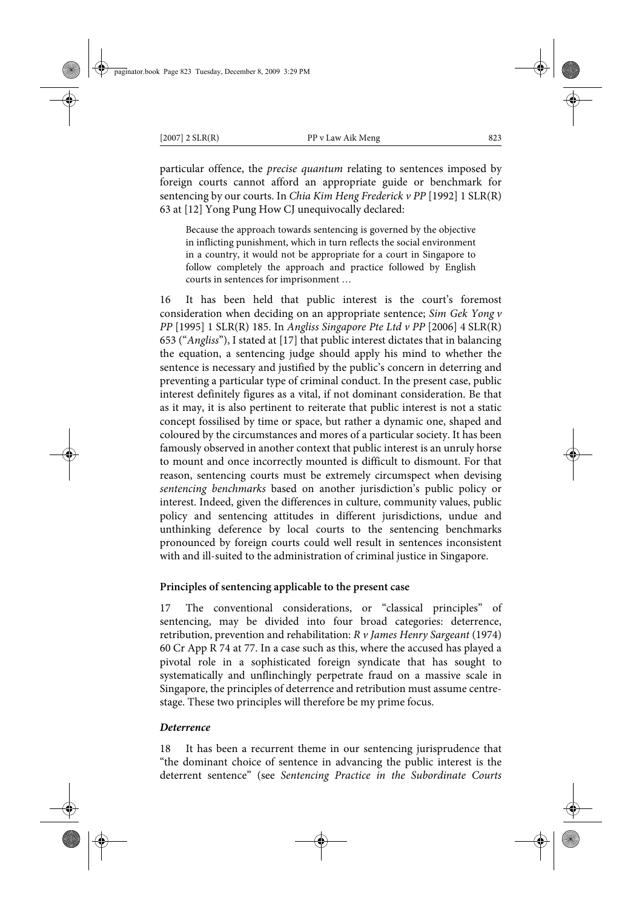particular offence, the *precise quantum* relating to sentences imposed by foreign courts cannot afford an appropriate guide or benchmark for sentencing by our courts. In *Chia Kim Heng Frederick v PP* [1992] 1 SLR(R) 63 at [12] Yong Pung How CJ unequivocally declared:

Because the approach towards sentencing is governed by the objective in inflicting punishment, which in turn reflects the social environment in a country, it would not be appropriate for a court in Singapore to follow completely the approach and practice followed by English courts in sentences for imprisonment …

16 It has been held that public interest is the court's foremost consideration when deciding on an appropriate sentence; *Sim Gek Yong v PP* [1995] 1 SLR(R) 185. In *Angliss Singapore Pte Ltd v PP* [2006] 4 SLR(R) 653 ("*Angliss*"), I stated at [17] that public interest dictates that in balancing the equation, a sentencing judge should apply his mind to whether the sentence is necessary and justified by the public's concern in deterring and preventing a particular type of criminal conduct. In the present case, public interest definitely figures as a vital, if not dominant consideration. Be that as it may, it is also pertinent to reiterate that public interest is not a static concept fossilised by time or space, but rather a dynamic one, shaped and coloured by the circumstances and mores of a particular society. It has been famously observed in another context that public interest is an unruly horse to mount and once incorrectly mounted is difficult to dismount. For that reason, sentencing courts must be extremely circumspect when devising *sentencing benchmarks* based on another jurisdiction's public policy or interest. Indeed, given the differences in culture, community values, public policy and sentencing attitudes in different jurisdictions, undue and unthinking deference by local courts to the sentencing benchmarks pronounced by foreign courts could well result in sentences inconsistent with and ill-suited to the administration of criminal justice in Singapore.

# **Principles of sentencing applicable to the present case**

17 The conventional considerations, or "classical principles" of sentencing, may be divided into four broad categories: deterrence, retribution, prevention and rehabilitation: *R v James Henry Sargeant* (1974) 60 Cr App R 74 at 77. In a case such as this, where the accused has played a pivotal role in a sophisticated foreign syndicate that has sought to systematically and unflinchingly perpetrate fraud on a massive scale in Singapore, the principles of deterrence and retribution must assume centrestage. These two principles will therefore be my prime focus.

# *Deterrence*

18 It has been a recurrent theme in our sentencing jurisprudence that "the dominant choice of sentence in advancing the public interest is the deterrent sentence" (see *Sentencing Practice in the Subordinate Courts*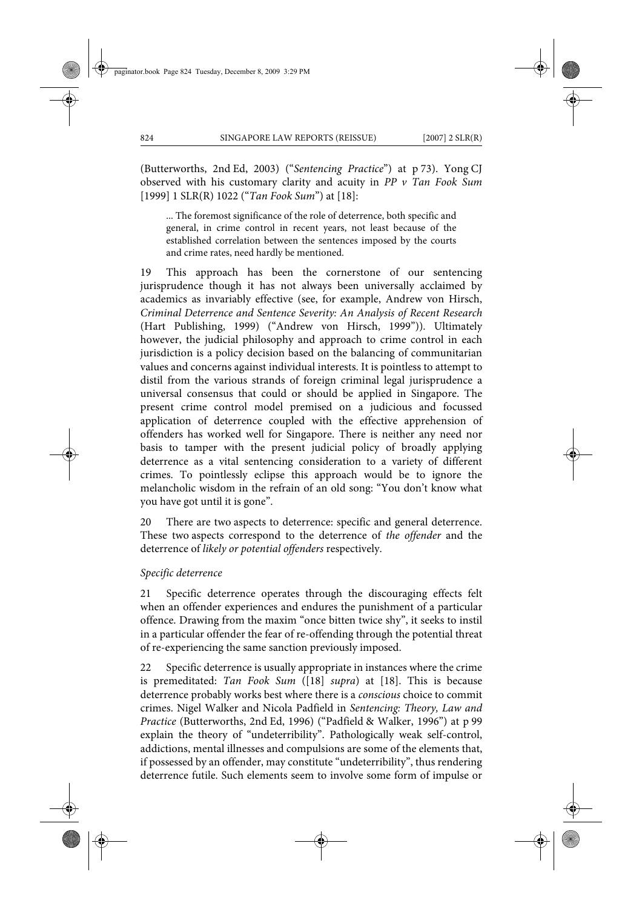(Butterworths, 2nd Ed, 2003) ("*Sentencing Practice*") at p 73). Yong CJ observed with his customary clarity and acuity in *PP v Tan Fook Sum* [1999] 1 SLR(R) 1022 ("*Tan Fook Sum*") at [18]:

... The foremost significance of the role of deterrence, both specific and general, in crime control in recent years, not least because of the established correlation between the sentences imposed by the courts and crime rates, need hardly be mentioned.

19 This approach has been the cornerstone of our sentencing jurisprudence though it has not always been universally acclaimed by academics as invariably effective (see, for example, Andrew von Hirsch, *Criminal Deterrence and Sentence Severity: An Analysis of Recent Research* (Hart Publishing, 1999) ("Andrew von Hirsch, 1999")). Ultimately however, the judicial philosophy and approach to crime control in each jurisdiction is a policy decision based on the balancing of communitarian values and concerns against individual interests. It is pointless to attempt to distil from the various strands of foreign criminal legal jurisprudence a universal consensus that could or should be applied in Singapore. The present crime control model premised on a judicious and focussed application of deterrence coupled with the effective apprehension of offenders has worked well for Singapore. There is neither any need nor basis to tamper with the present judicial policy of broadly applying deterrence as a vital sentencing consideration to a variety of different crimes. To pointlessly eclipse this approach would be to ignore the melancholic wisdom in the refrain of an old song: "You don't know what you have got until it is gone".

20 There are two aspects to deterrence: specific and general deterrence. These two aspects correspond to the deterrence of *the offender* and the deterrence of *likely or potential offenders* respectively.

# *Specific deterrence*

21 Specific deterrence operates through the discouraging effects felt when an offender experiences and endures the punishment of a particular offence. Drawing from the maxim "once bitten twice shy", it seeks to instil in a particular offender the fear of re-offending through the potential threat of re-experiencing the same sanction previously imposed.

22 Specific deterrence is usually appropriate in instances where the crime is premeditated: *Tan Fook Sum* ([18] *supra*) at [18]. This is because deterrence probably works best where there is a *conscious* choice to commit crimes. Nigel Walker and Nicola Padfield in *Sentencing: Theory, Law and Practice* (Butterworths, 2nd Ed, 1996) ("Padfield & Walker, 1996") at p 99 explain the theory of "undeterribility". Pathologically weak self-control, addictions, mental illnesses and compulsions are some of the elements that, if possessed by an offender, may constitute "undeterribility", thus rendering deterrence futile. Such elements seem to involve some form of impulse or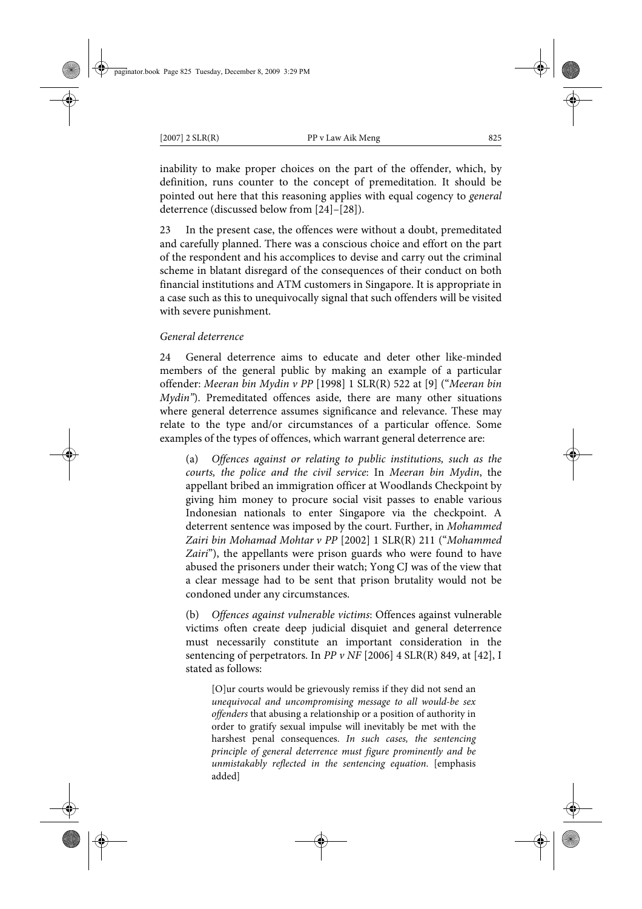inability to make proper choices on the part of the offender, which, by definition, runs counter to the concept of premeditation. It should be pointed out here that this reasoning applies with equal cogency to *general* deterrence (discussed below from [24]–[28]).

23 In the present case, the offences were without a doubt, premeditated and carefully planned. There was a conscious choice and effort on the part of the respondent and his accomplices to devise and carry out the criminal scheme in blatant disregard of the consequences of their conduct on both financial institutions and ATM customers in Singapore. It is appropriate in a case such as this to unequivocally signal that such offenders will be visited with severe punishment.

# *General deterrence*

24 General deterrence aims to educate and deter other like-minded members of the general public by making an example of a particular offender: *Meeran bin Mydin v PP* [1998] 1 SLR(R) 522 at [9] ("*Meeran bin Mydin"*). Premeditated offences aside, there are many other situations where general deterrence assumes significance and relevance. These may relate to the type and/or circumstances of a particular offence. Some examples of the types of offences, which warrant general deterrence are:

(a) *Offences against or relating to public institutions, such as the courts, the police and the civil service*: In *Meeran bin Mydin*, the appellant bribed an immigration officer at Woodlands Checkpoint by giving him money to procure social visit passes to enable various Indonesian nationals to enter Singapore via the checkpoint. A deterrent sentence was imposed by the court. Further, in *Mohammed Zairi bin Mohamad Mohtar v PP* [2002] 1 SLR(R) 211 ("*Mohammed Zairi*"), the appellants were prison guards who were found to have abused the prisoners under their watch; Yong CJ was of the view that a clear message had to be sent that prison brutality would not be condoned under any circumstances.

(b) *Offences against vulnerable victims*: Offences against vulnerable victims often create deep judicial disquiet and general deterrence must necessarily constitute an important consideration in the sentencing of perpetrators. In *PP v NF* [2006] 4 SLR(R) 849, at [42], I stated as follows:

[O]ur courts would be grievously remiss if they did not send an *unequivocal and uncompromising message to all would-be sex offenders* that abusing a relationship or a position of authority in order to gratify sexual impulse will inevitably be met with the harshest penal consequences. *In such cases, the sentencing principle of general deterrence must figure prominently and be unmistakably reflected in the sentencing equation*. [emphasis added]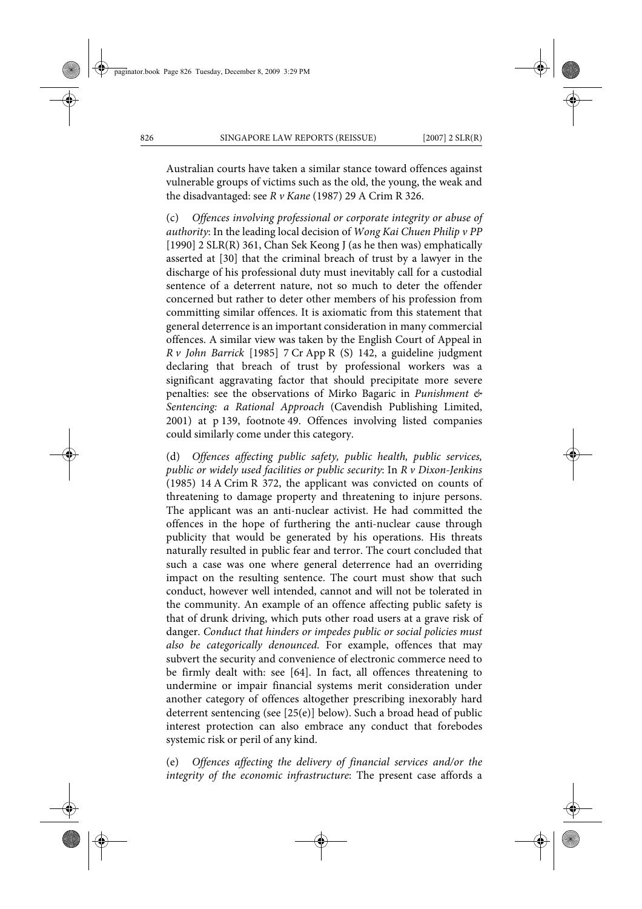Australian courts have taken a similar stance toward offences against vulnerable groups of victims such as the old, the young, the weak and the disadvantaged: see *R v Kane* (1987) 29 A Crim R 326.

(c) *Offences involving professional or corporate integrity or abuse of authority*: In the leading local decision of *Wong Kai Chuen Philip v PP* [1990] 2 SLR(R) 361, Chan Sek Keong J (as he then was) emphatically asserted at [30] that the criminal breach of trust by a lawyer in the discharge of his professional duty must inevitably call for a custodial sentence of a deterrent nature, not so much to deter the offender concerned but rather to deter other members of his profession from committing similar offences. It is axiomatic from this statement that general deterrence is an important consideration in many commercial offences. A similar view was taken by the English Court of Appeal in *R v John Barrick* [1985] 7 Cr App R (S) 142, a guideline judgment declaring that breach of trust by professional workers was a significant aggravating factor that should precipitate more severe penalties: see the observations of Mirko Bagaric in *Punishment & Sentencing: a Rational Approach* (Cavendish Publishing Limited, 2001) at p 139, footnote 49. Offences involving listed companies could similarly come under this category.

(d) *Offences affecting public safety, public health, public services, public or widely used facilities or public security*: In *R v Dixon-Jenkins* (1985) 14 A Crim R 372, the applicant was convicted on counts of threatening to damage property and threatening to injure persons. The applicant was an anti-nuclear activist. He had committed the offences in the hope of furthering the anti-nuclear cause through publicity that would be generated by his operations. His threats naturally resulted in public fear and terror. The court concluded that such a case was one where general deterrence had an overriding impact on the resulting sentence. The court must show that such conduct, however well intended, cannot and will not be tolerated in the community. An example of an offence affecting public safety is that of drunk driving, which puts other road users at a grave risk of danger. *Conduct that hinders or impedes public or social policies must also be categorically denounced*. For example, offences that may subvert the security and convenience of electronic commerce need to be firmly dealt with: see [64]. In fact, all offences threatening to undermine or impair financial systems merit consideration under another category of offences altogether prescribing inexorably hard deterrent sentencing (see [25(e)] below). Such a broad head of public interest protection can also embrace any conduct that forebodes systemic risk or peril of any kind.

(e) *Offences affecting the delivery of financial services and/or the integrity of the economic infrastructure*: The present case affords a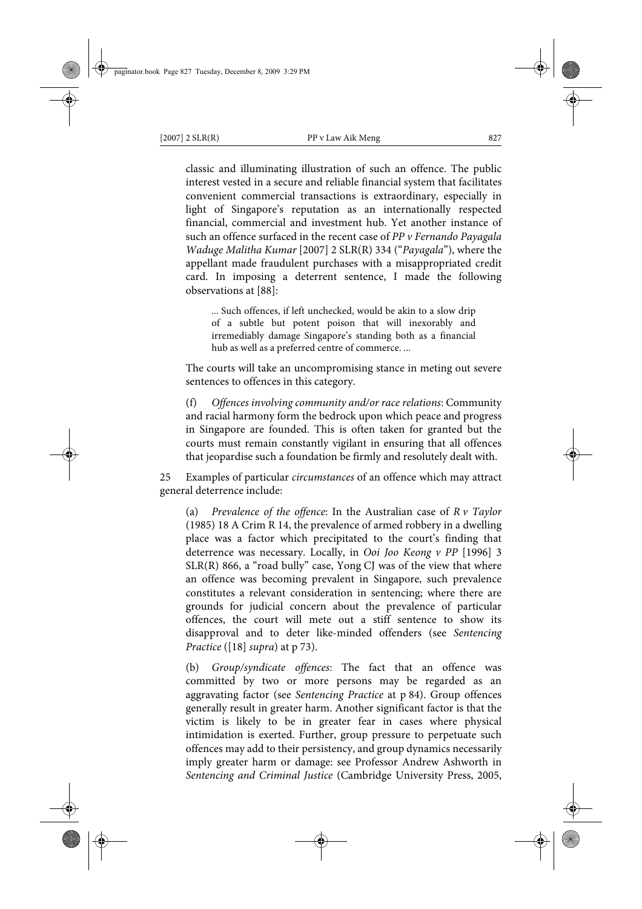classic and illuminating illustration of such an offence. The public interest vested in a secure and reliable financial system that facilitates convenient commercial transactions is extraordinary, especially in light of Singapore's reputation as an internationally respected financial, commercial and investment hub. Yet another instance of such an offence surfaced in the recent case of *PP v Fernando Payagala Waduge Malitha Kumar* [2007] 2 SLR(R) 334 ("*Payagala*"), where the appellant made fraudulent purchases with a misappropriated credit card. In imposing a deterrent sentence, I made the following observations at [88]:

... Such offences, if left unchecked, would be akin to a slow drip of a subtle but potent poison that will inexorably and irremediably damage Singapore's standing both as a financial hub as well as a preferred centre of commerce. ...

The courts will take an uncompromising stance in meting out severe sentences to offences in this category.

(f) *Offences involving community and/or race relations*: Community and racial harmony form the bedrock upon which peace and progress in Singapore are founded. This is often taken for granted but the courts must remain constantly vigilant in ensuring that all offences that jeopardise such a foundation be firmly and resolutely dealt with.

25 Examples of particular *circumstances* of an offence which may attract general deterrence include:

(a) *Prevalence of the offence*: In the Australian case of *R v Taylor* (1985) 18 A Crim R 14, the prevalence of armed robbery in a dwelling place was a factor which precipitated to the court's finding that deterrence was necessary. Locally, in *Ooi Joo Keong v PP* [1996] 3 SLR(R) 866, a "road bully" case, Yong CJ was of the view that where an offence was becoming prevalent in Singapore, such prevalence constitutes a relevant consideration in sentencing; where there are grounds for judicial concern about the prevalence of particular offences, the court will mete out a stiff sentence to show its disapproval and to deter like-minded offenders (see *Sentencing Practice* ([18] *supra*) at p 73).

(b) *Group/syndicate offences*: The fact that an offence was committed by two or more persons may be regarded as an aggravating factor (see *Sentencing Practice* at p 84). Group offences generally result in greater harm. Another significant factor is that the victim is likely to be in greater fear in cases where physical intimidation is exerted. Further, group pressure to perpetuate such offences may add to their persistency, and group dynamics necessarily imply greater harm or damage: see Professor Andrew Ashworth in *Sentencing and Criminal Justice* (Cambridge University Press, 2005,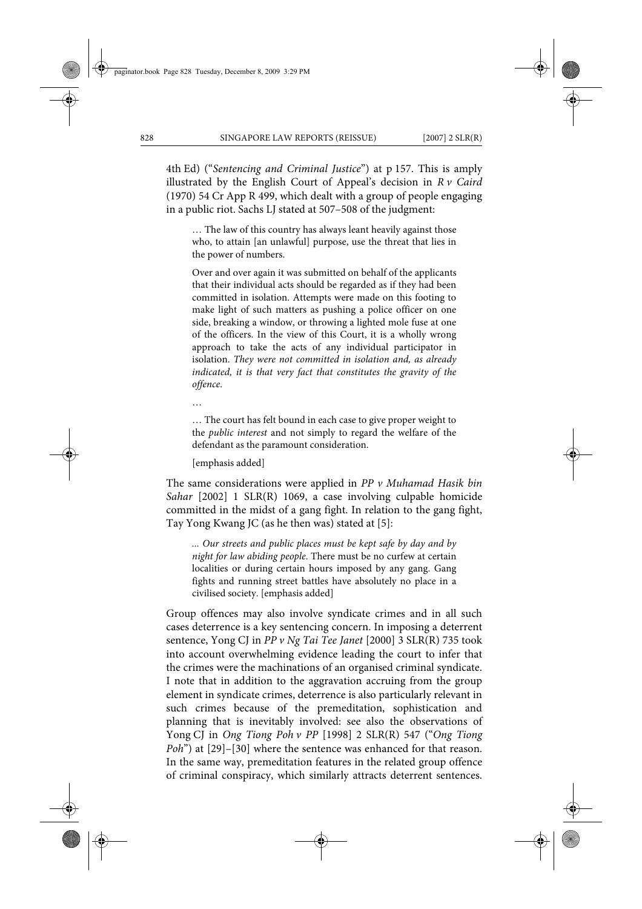4th Ed) ("*Sentencing and Criminal Justice*") at p 157. This is amply illustrated by the English Court of Appeal's decision in *R v Caird* (1970) 54 Cr App R 499, which dealt with a group of people engaging in a public riot. Sachs LJ stated at 507–508 of the judgment:

… The law of this country has always leant heavily against those who, to attain [an unlawful] purpose, use the threat that lies in the power of numbers.

Over and over again it was submitted on behalf of the applicants that their individual acts should be regarded as if they had been committed in isolation. Attempts were made on this footing to make light of such matters as pushing a police officer on one side, breaking a window, or throwing a lighted mole fuse at one of the officers. In the view of this Court, it is a wholly wrong approach to take the acts of any individual participator in isolation. *They were not committed in isolation and, as already indicated, it is that very fact that constitutes the gravity of the offence*.

…

… The court has felt bound in each case to give proper weight to the *public interest* and not simply to regard the welfare of the defendant as the paramount consideration.

[emphasis added]

The same considerations were applied in *PP v Muhamad Hasik bin Sahar* [2002] 1 SLR(R) 1069, a case involving culpable homicide committed in the midst of a gang fight. In relation to the gang fight, Tay Yong Kwang JC (as he then was) stated at [5]:

*... Our streets and public places must be kept safe by day and by night for law abiding people*. There must be no curfew at certain localities or during certain hours imposed by any gang. Gang fights and running street battles have absolutely no place in a civilised society. [emphasis added]

Group offences may also involve syndicate crimes and in all such cases deterrence is a key sentencing concern. In imposing a deterrent sentence, Yong CJ in *PP v Ng Tai Tee Janet* [2000] 3 SLR(R) 735 took into account overwhelming evidence leading the court to infer that the crimes were the machinations of an organised criminal syndicate. I note that in addition to the aggravation accruing from the group element in syndicate crimes, deterrence is also particularly relevant in such crimes because of the premeditation, sophistication and planning that is inevitably involved: see also the observations of Yong CJ in *Ong Tiong Poh v PP* [1998] 2 SLR(R) 547 ("*Ong Tiong Poh*") at [29]–[30] where the sentence was enhanced for that reason. In the same way, premeditation features in the related group offence of criminal conspiracy, which similarly attracts deterrent sentences.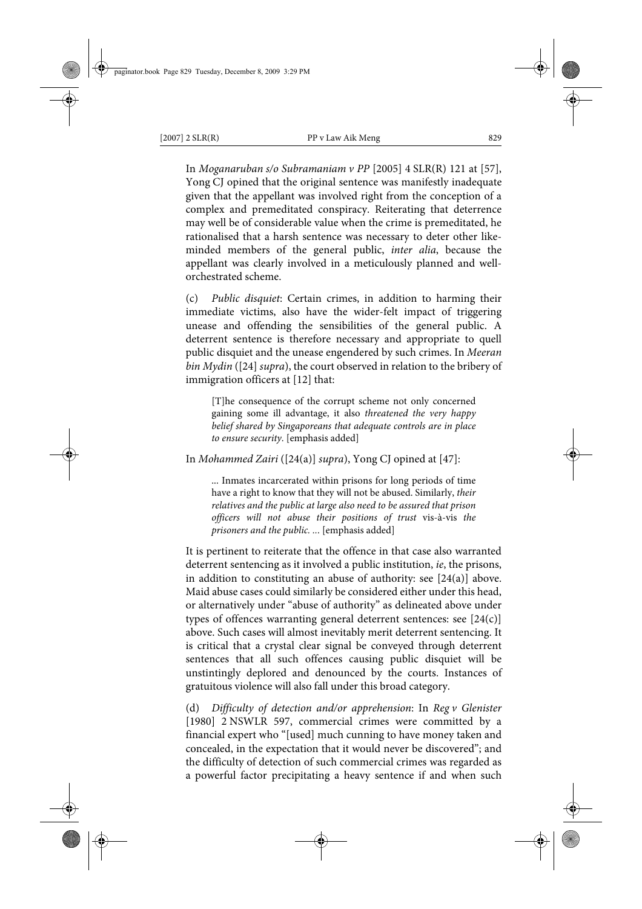In *Moganaruban s/o Subramaniam v PP* [2005] 4 SLR(R) 121 at [57], Yong CJ opined that the original sentence was manifestly inadequate given that the appellant was involved right from the conception of a complex and premeditated conspiracy. Reiterating that deterrence may well be of considerable value when the crime is premeditated, he rationalised that a harsh sentence was necessary to deter other likeminded members of the general public, *inter alia*, because the appellant was clearly involved in a meticulously planned and wellorchestrated scheme.

(c) *Public disquiet*: Certain crimes, in addition to harming their immediate victims, also have the wider-felt impact of triggering unease and offending the sensibilities of the general public. A deterrent sentence is therefore necessary and appropriate to quell public disquiet and the unease engendered by such crimes. In *Meeran bin Mydin* ([24] *supra*), the court observed in relation to the bribery of immigration officers at [12] that:

[T]he consequence of the corrupt scheme not only concerned gaining some ill advantage, it also *threatened the very happy belief shared by Singaporeans that adequate controls are in place to ensure security*. [emphasis added]

In *Mohammed Zairi* ([24(a)] *supra*), Yong CJ opined at [47]:

... Inmates incarcerated within prisons for long periods of time have a right to know that they will not be abused. Similarly, *their relatives and the public at large also need to be assured that prison officers will not abuse their positions of trust* vis-à-vis *the prisoners and the public. ..*. [emphasis added]

It is pertinent to reiterate that the offence in that case also warranted deterrent sentencing as it involved a public institution, *ie*, the prisons, in addition to constituting an abuse of authority: see [24(a)] above. Maid abuse cases could similarly be considered either under this head, or alternatively under "abuse of authority" as delineated above under types of offences warranting general deterrent sentences: see [24(c)] above. Such cases will almost inevitably merit deterrent sentencing. It is critical that a crystal clear signal be conveyed through deterrent sentences that all such offences causing public disquiet will be unstintingly deplored and denounced by the courts. Instances of gratuitous violence will also fall under this broad category.

(d) *Difficulty of detection and/or apprehension*: In *Reg v Glenister* [1980] 2 NSWLR 597, commercial crimes were committed by a financial expert who "[used] much cunning to have money taken and concealed, in the expectation that it would never be discovered"; and the difficulty of detection of such commercial crimes was regarded as a powerful factor precipitating a heavy sentence if and when such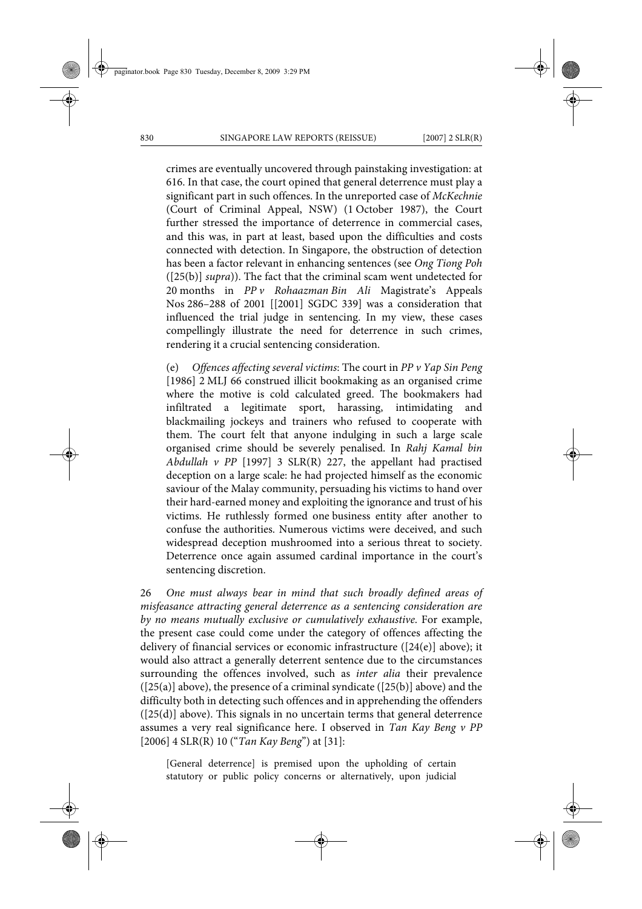crimes are eventually uncovered through painstaking investigation: at 616. In that case, the court opined that general deterrence must play a significant part in such offences. In the unreported case of *McKechnie* (Court of Criminal Appeal, NSW) (1 October 1987), the Court further stressed the importance of deterrence in commercial cases, and this was, in part at least, based upon the difficulties and costs connected with detection. In Singapore, the obstruction of detection has been a factor relevant in enhancing sentences (see *Ong Tiong Poh* ([25(b)] *supra*)). The fact that the criminal scam went undetected for 20 months in *PP v Rohaazman Bin Ali* Magistrate's Appeals Nos 286–288 of 2001 [[2001] SGDC 339] was a consideration that influenced the trial judge in sentencing. In my view, these cases compellingly illustrate the need for deterrence in such crimes, rendering it a crucial sentencing consideration.

(e) *Offences affecting several victims*: The court in *PP v Yap Sin Peng* [1986] 2 MLJ 66 construed illicit bookmaking as an organised crime where the motive is cold calculated greed. The bookmakers had infiltrated a legitimate sport, harassing, intimidating and blackmailing jockeys and trainers who refused to cooperate with them. The court felt that anyone indulging in such a large scale organised crime should be severely penalised. In *Rahj Kamal bin Abdullah v PP* [1997] 3 SLR(R) 227, the appellant had practised deception on a large scale: he had projected himself as the economic saviour of the Malay community, persuading his victims to hand over their hard-earned money and exploiting the ignorance and trust of his victims. He ruthlessly formed one business entity after another to confuse the authorities. Numerous victims were deceived, and such widespread deception mushroomed into a serious threat to society. Deterrence once again assumed cardinal importance in the court's sentencing discretion.

26 *One must always bear in mind that such broadly defined areas of misfeasance attracting general deterrence as a sentencing consideration are by no means mutually exclusive or cumulatively exhaustive*. For example, the present case could come under the category of offences affecting the delivery of financial services or economic infrastructure ([24(e)] above); it would also attract a generally deterrent sentence due to the circumstances surrounding the offences involved, such as *inter alia* their prevalence  $([25(a)]$  above), the presence of a criminal syndicate  $([25(b)]$  above) and the difficulty both in detecting such offences and in apprehending the offenders ([25(d)] above). This signals in no uncertain terms that general deterrence assumes a very real significance here. I observed in *Tan Kay Beng v PP* [2006] 4 SLR(R) 10 ("*Tan Kay Beng*") at [31]:

[General deterrence] is premised upon the upholding of certain statutory or public policy concerns or alternatively, upon judicial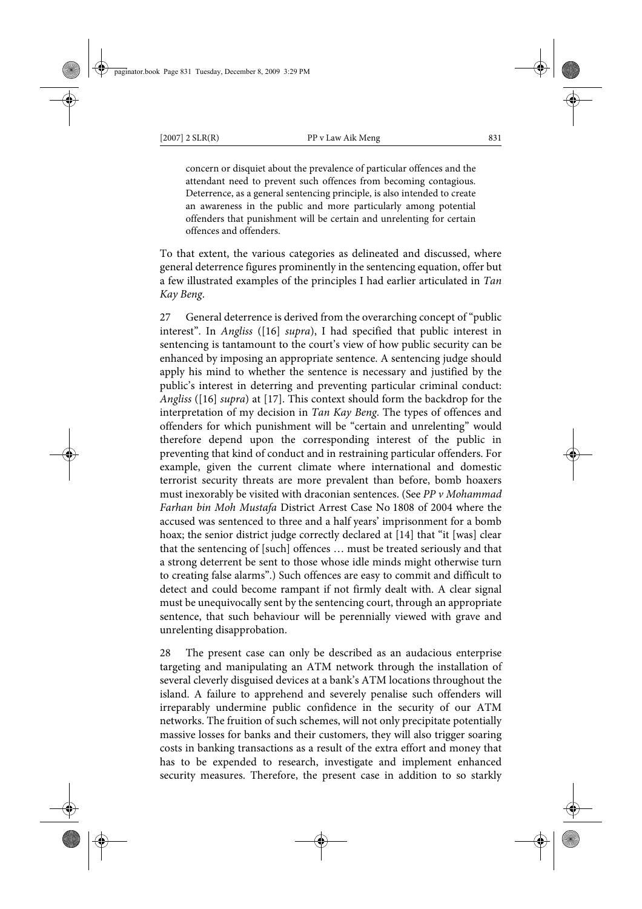concern or disquiet about the prevalence of particular offences and the attendant need to prevent such offences from becoming contagious. Deterrence, as a general sentencing principle, is also intended to create an awareness in the public and more particularly among potential offenders that punishment will be certain and unrelenting for certain offences and offenders.

To that extent, the various categories as delineated and discussed, where general deterrence figures prominently in the sentencing equation, offer but a few illustrated examples of the principles I had earlier articulated in *Tan Kay Beng*.

27 General deterrence is derived from the overarching concept of "public interest". In *Angliss* ([16] *supra*), I had specified that public interest in sentencing is tantamount to the court's view of how public security can be enhanced by imposing an appropriate sentence. A sentencing judge should apply his mind to whether the sentence is necessary and justified by the public's interest in deterring and preventing particular criminal conduct: *Angliss* ([16] *supra*) at [17]. This context should form the backdrop for the interpretation of my decision in *Tan Kay Beng*. The types of offences and offenders for which punishment will be "certain and unrelenting" would therefore depend upon the corresponding interest of the public in preventing that kind of conduct and in restraining particular offenders. For example, given the current climate where international and domestic terrorist security threats are more prevalent than before, bomb hoaxers must inexorably be visited with draconian sentences. (See *PP v Mohammad Farhan bin Moh Mustafa* District Arrest Case No 1808 of 2004 where the accused was sentenced to three and a half years' imprisonment for a bomb hoax; the senior district judge correctly declared at [14] that "it [was] clear that the sentencing of [such] offences … must be treated seriously and that a strong deterrent be sent to those whose idle minds might otherwise turn to creating false alarms".) Such offences are easy to commit and difficult to detect and could become rampant if not firmly dealt with. A clear signal must be unequivocally sent by the sentencing court, through an appropriate sentence, that such behaviour will be perennially viewed with grave and unrelenting disapprobation.

28 The present case can only be described as an audacious enterprise targeting and manipulating an ATM network through the installation of several cleverly disguised devices at a bank's ATM locations throughout the island. A failure to apprehend and severely penalise such offenders will irreparably undermine public confidence in the security of our ATM networks. The fruition of such schemes, will not only precipitate potentially massive losses for banks and their customers, they will also trigger soaring costs in banking transactions as a result of the extra effort and money that has to be expended to research, investigate and implement enhanced security measures. Therefore, the present case in addition to so starkly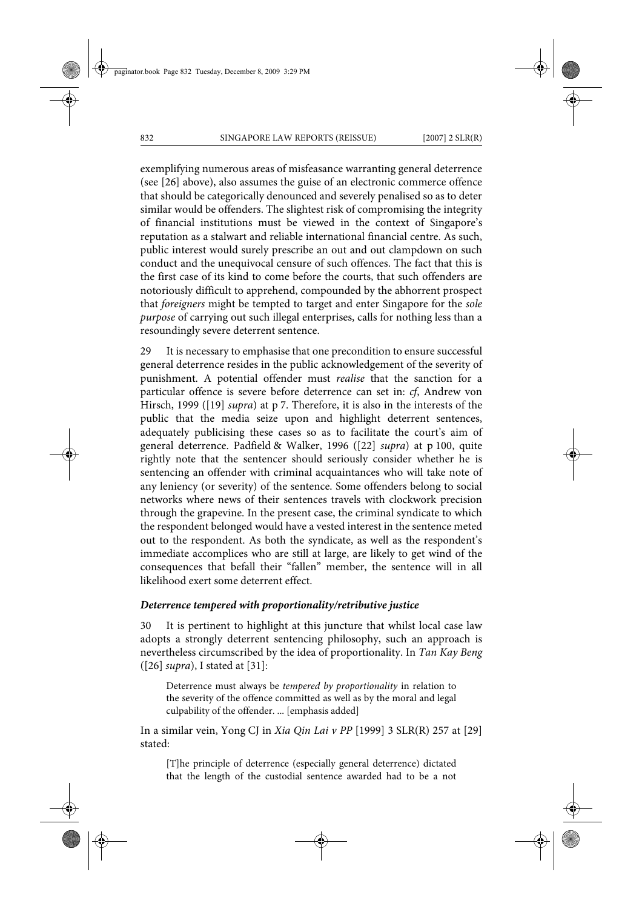exemplifying numerous areas of misfeasance warranting general deterrence (see [26] above), also assumes the guise of an electronic commerce offence that should be categorically denounced and severely penalised so as to deter similar would be offenders. The slightest risk of compromising the integrity of financial institutions must be viewed in the context of Singapore's reputation as a stalwart and reliable international financial centre. As such, public interest would surely prescribe an out and out clampdown on such conduct and the unequivocal censure of such offences. The fact that this is the first case of its kind to come before the courts, that such offenders are notoriously difficult to apprehend, compounded by the abhorrent prospect that *foreigners* might be tempted to target and enter Singapore for the *sole purpose* of carrying out such illegal enterprises, calls for nothing less than a resoundingly severe deterrent sentence.

29 It is necessary to emphasise that one precondition to ensure successful general deterrence resides in the public acknowledgement of the severity of punishment. A potential offender must *realise* that the sanction for a particular offence is severe before deterrence can set in: *cf*, Andrew von Hirsch, 1999 ([19] *supra*) at p 7. Therefore, it is also in the interests of the public that the media seize upon and highlight deterrent sentences, adequately publicising these cases so as to facilitate the court's aim of general deterrence. Padfield & Walker, 1996 ([22] *supra*) at p 100, quite rightly note that the sentencer should seriously consider whether he is sentencing an offender with criminal acquaintances who will take note of any leniency (or severity) of the sentence. Some offenders belong to social networks where news of their sentences travels with clockwork precision through the grapevine. In the present case, the criminal syndicate to which the respondent belonged would have a vested interest in the sentence meted out to the respondent. As both the syndicate, as well as the respondent's immediate accomplices who are still at large, are likely to get wind of the consequences that befall their "fallen" member, the sentence will in all likelihood exert some deterrent effect.

#### *Deterrence tempered with proportionality/retributive justice*

30 It is pertinent to highlight at this juncture that whilst local case law adopts a strongly deterrent sentencing philosophy, such an approach is nevertheless circumscribed by the idea of proportionality. In *Tan Kay Beng* ([26] *supra*), I stated at [31]:

Deterrence must always be *tempered by proportionality* in relation to the severity of the offence committed as well as by the moral and legal culpability of the offender. ... [emphasis added]

In a similar vein, Yong CJ in *Xia Qin Lai v PP* [1999] 3 SLR(R) 257 at [29] stated:

[T]he principle of deterrence (especially general deterrence) dictated that the length of the custodial sentence awarded had to be a not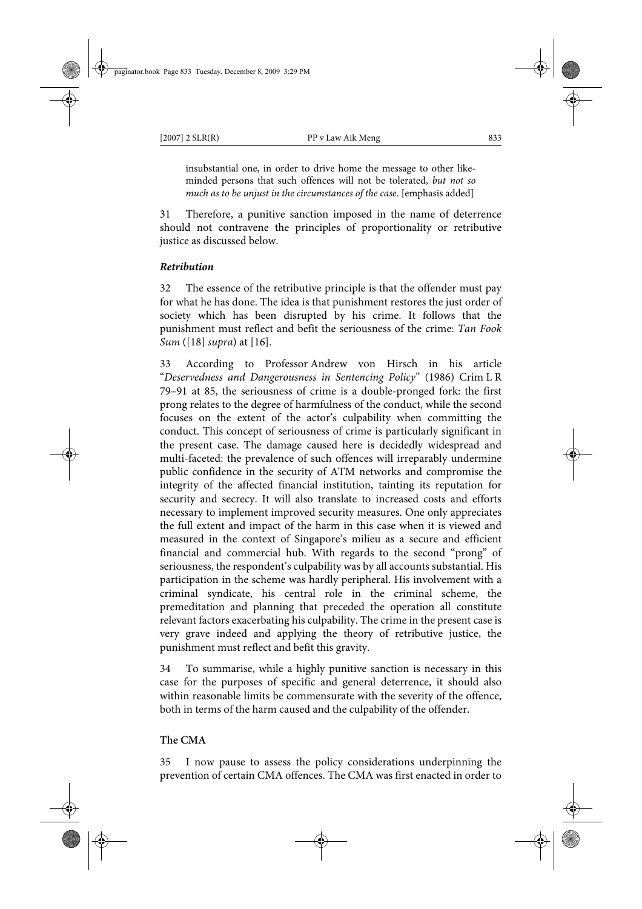insubstantial one, in order to drive home the message to other likeminded persons that such offences will not be tolerated, *but not so much as to be unjust in the circumstances of the case*. [emphasis added]

31 Therefore, a punitive sanction imposed in the name of deterrence should not contravene the principles of proportionality or retributive justice as discussed below.

# *Retribution*

32 The essence of the retributive principle is that the offender must pay for what he has done. The idea is that punishment restores the just order of society which has been disrupted by his crime. It follows that the punishment must reflect and befit the seriousness of the crime: *Tan Fook Sum* ([18] *supra*) at [16].

33 According to Professor Andrew von Hirsch in his article "*Deservedness and Dangerousness in Sentencing Policy*" (1986) Crim L R 79–91 at 85, the seriousness of crime is a double-pronged fork: the first prong relates to the degree of harmfulness of the conduct, while the second focuses on the extent of the actor's culpability when committing the conduct. This concept of seriousness of crime is particularly significant in the present case. The damage caused here is decidedly widespread and multi-faceted: the prevalence of such offences will irreparably undermine public confidence in the security of ATM networks and compromise the integrity of the affected financial institution, tainting its reputation for security and secrecy. It will also translate to increased costs and efforts necessary to implement improved security measures. One only appreciates the full extent and impact of the harm in this case when it is viewed and measured in the context of Singapore's milieu as a secure and efficient financial and commercial hub. With regards to the second "prong" of seriousness, the respondent's culpability was by all accounts substantial. His participation in the scheme was hardly peripheral. His involvement with a criminal syndicate, his central role in the criminal scheme, the premeditation and planning that preceded the operation all constitute relevant factors exacerbating his culpability. The crime in the present case is very grave indeed and applying the theory of retributive justice, the punishment must reflect and befit this gravity.

To summarise, while a highly punitive sanction is necessary in this case for the purposes of specific and general deterrence, it should also within reasonable limits be commensurate with the severity of the offence, both in terms of the harm caused and the culpability of the offender.

# **The CMA**

35 I now pause to assess the policy considerations underpinning the prevention of certain CMA offences. The CMA was first enacted in order to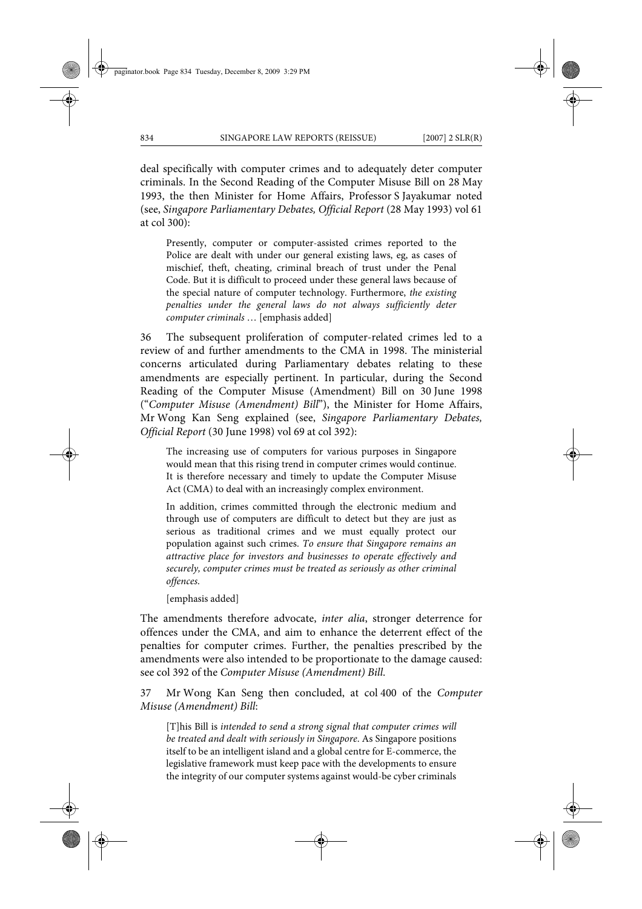deal specifically with computer crimes and to adequately deter computer criminals. In the Second Reading of the Computer Misuse Bill on 28 May 1993, the then Minister for Home Affairs, Professor S Jayakumar noted (see, *Singapore Parliamentary Debates, Official Report* (28 May 1993) vol 61 at col 300):

Presently, computer or computer-assisted crimes reported to the Police are dealt with under our general existing laws, eg, as cases of mischief, theft, cheating, criminal breach of trust under the Penal Code. But it is difficult to proceed under these general laws because of the special nature of computer technology. Furthermore, *the existing penalties under the general laws do not always sufficiently deter computer criminals* … [emphasis added]

36 The subsequent proliferation of computer-related crimes led to a review of and further amendments to the CMA in 1998. The ministerial concerns articulated during Parliamentary debates relating to these amendments are especially pertinent. In particular, during the Second Reading of the Computer Misuse (Amendment) Bill on 30 June 1998 ("*Computer Misuse (Amendment) Bill*"), the Minister for Home Affairs, Mr Wong Kan Seng explained (see, *Singapore Parliamentary Debates, Official Report* (30 June 1998) vol 69 at col 392):

The increasing use of computers for various purposes in Singapore would mean that this rising trend in computer crimes would continue. It is therefore necessary and timely to update the Computer Misuse Act (CMA) to deal with an increasingly complex environment.

In addition, crimes committed through the electronic medium and through use of computers are difficult to detect but they are just as serious as traditional crimes and we must equally protect our population against such crimes. *To ensure that Singapore remains an attractive place for investors and businesses to operate effectively and securely, computer crimes must be treated as seriously as other criminal offences*.

[emphasis added]

The amendments therefore advocate, *inter alia*, stronger deterrence for offences under the CMA, and aim to enhance the deterrent effect of the penalties for computer crimes. Further, the penalties prescribed by the amendments were also intended to be proportionate to the damage caused: see col 392 of the *Computer Misuse (Amendment) Bill*.

37 Mr Wong Kan Seng then concluded, at col 400 of the *Computer Misuse (Amendment) Bill*:

[T]his Bill is *intended to send a strong signal that computer crimes will be treated and dealt with seriously in Singapore*. As Singapore positions itself to be an intelligent island and a global centre for E-commerce, the legislative framework must keep pace with the developments to ensure the integrity of our computer systems against would-be cyber criminals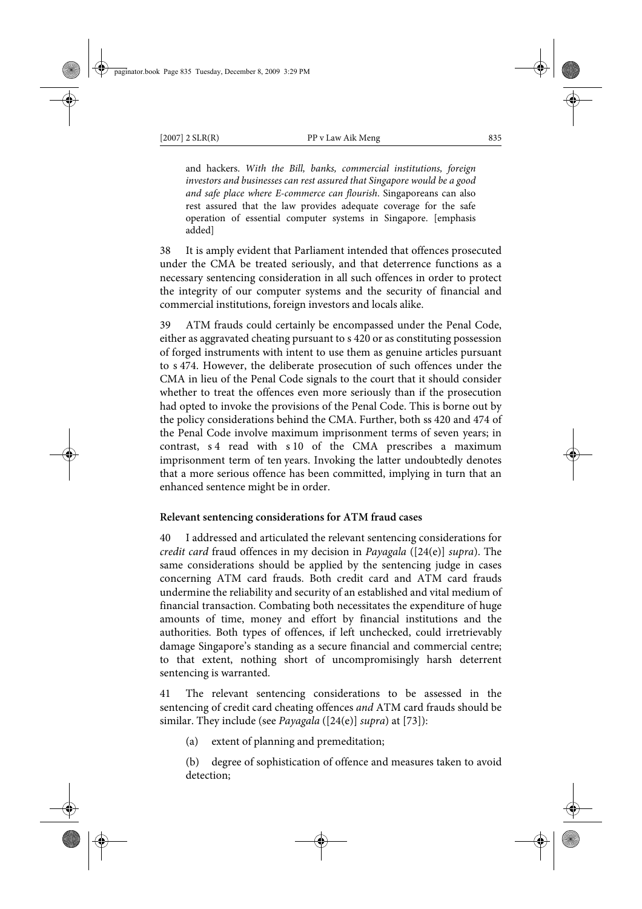and hackers. *With the Bill, banks, commercial institutions, foreign investors and businesses can rest assured that Singapore would be a good and safe place where E-commerce can flourish*. Singaporeans can also rest assured that the law provides adequate coverage for the safe operation of essential computer systems in Singapore. [emphasis added]

38 It is amply evident that Parliament intended that offences prosecuted under the CMA be treated seriously, and that deterrence functions as a necessary sentencing consideration in all such offences in order to protect the integrity of our computer systems and the security of financial and commercial institutions, foreign investors and locals alike.

39 ATM frauds could certainly be encompassed under the Penal Code, either as aggravated cheating pursuant to s 420 or as constituting possession of forged instruments with intent to use them as genuine articles pursuant to s 474. However, the deliberate prosecution of such offences under the CMA in lieu of the Penal Code signals to the court that it should consider whether to treat the offences even more seriously than if the prosecution had opted to invoke the provisions of the Penal Code. This is borne out by the policy considerations behind the CMA. Further, both ss 420 and 474 of the Penal Code involve maximum imprisonment terms of seven years; in contrast, s 4 read with s 10 of the CMA prescribes a maximum imprisonment term of ten years. Invoking the latter undoubtedly denotes that a more serious offence has been committed, implying in turn that an enhanced sentence might be in order.

# **Relevant sentencing considerations for ATM fraud cases**

40 I addressed and articulated the relevant sentencing considerations for *credit card* fraud offences in my decision in *Payagala* ([24(e)] *supra*). The same considerations should be applied by the sentencing judge in cases concerning ATM card frauds. Both credit card and ATM card frauds undermine the reliability and security of an established and vital medium of financial transaction. Combating both necessitates the expenditure of huge amounts of time, money and effort by financial institutions and the authorities. Both types of offences, if left unchecked, could irretrievably damage Singapore's standing as a secure financial and commercial centre; to that extent, nothing short of uncompromisingly harsh deterrent sentencing is warranted.

41 The relevant sentencing considerations to be assessed in the sentencing of credit card cheating offences *and* ATM card frauds should be similar. They include (see *Payagala* ([24(e)] *supra*) at [73]):

(a) extent of planning and premeditation;

(b) degree of sophistication of offence and measures taken to avoid detection;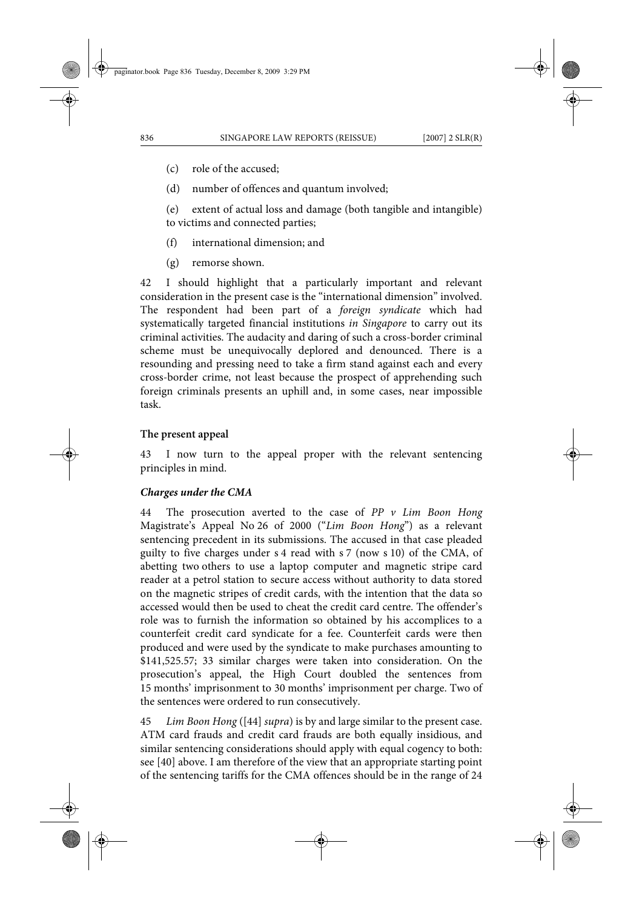(c) role of the accused;

(d) number of offences and quantum involved;

(e) extent of actual loss and damage (both tangible and intangible) to victims and connected parties;

- (f) international dimension; and
- (g) remorse shown.

42 I should highlight that a particularly important and relevant consideration in the present case is the "international dimension" involved. The respondent had been part of a *foreign syndicate* which had systematically targeted financial institutions *in Singapore* to carry out its criminal activities. The audacity and daring of such a cross-border criminal scheme must be unequivocally deplored and denounced. There is a resounding and pressing need to take a firm stand against each and every cross-border crime, not least because the prospect of apprehending such foreign criminals presents an uphill and, in some cases, near impossible task.

#### **The present appeal**

43 I now turn to the appeal proper with the relevant sentencing principles in mind.

#### *Charges under the CMA*

44 The prosecution averted to the case of *PP v Lim Boon Hong* Magistrate's Appeal No 26 of 2000 ("*Lim Boon Hong*") as a relevant sentencing precedent in its submissions. The accused in that case pleaded guilty to five charges under s 4 read with s 7 (now s 10) of the CMA, of abetting two others to use a laptop computer and magnetic stripe card reader at a petrol station to secure access without authority to data stored on the magnetic stripes of credit cards, with the intention that the data so accessed would then be used to cheat the credit card centre. The offender's role was to furnish the information so obtained by his accomplices to a counterfeit credit card syndicate for a fee. Counterfeit cards were then produced and were used by the syndicate to make purchases amounting to \$141,525.57; 33 similar charges were taken into consideration. On the prosecution's appeal, the High Court doubled the sentences from 15 months' imprisonment to 30 months' imprisonment per charge. Two of the sentences were ordered to run consecutively.

45 *Lim Boon Hong* ([44] *supra*) is by and large similar to the present case. ATM card frauds and credit card frauds are both equally insidious, and similar sentencing considerations should apply with equal cogency to both: see [40] above. I am therefore of the view that an appropriate starting point of the sentencing tariffs for the CMA offences should be in the range of 24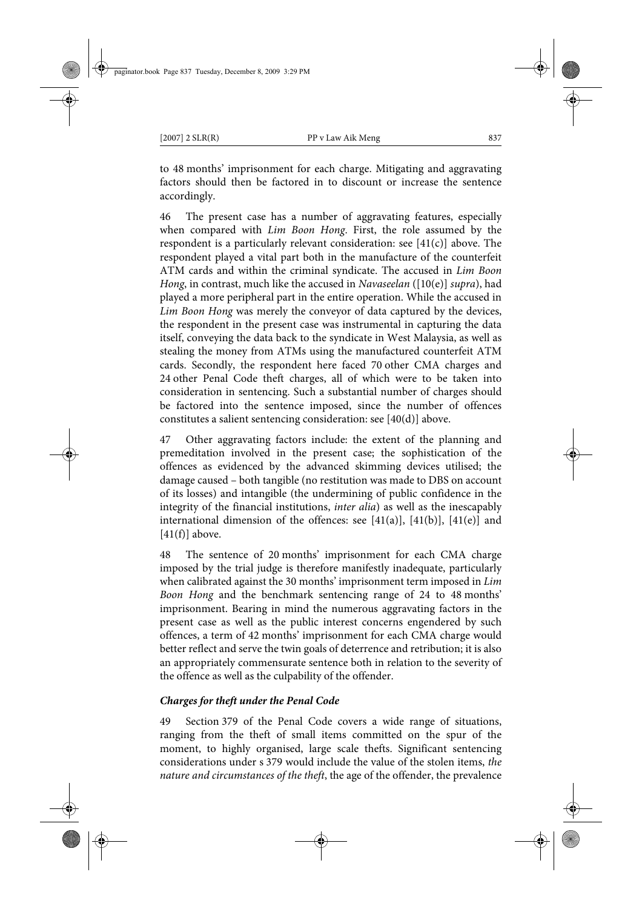to 48 months' imprisonment for each charge. Mitigating and aggravating factors should then be factored in to discount or increase the sentence accordingly.

46 The present case has a number of aggravating features, especially when compared with *Lim Boon Hong*. First, the role assumed by the respondent is a particularly relevant consideration: see [41(c)] above. The respondent played a vital part both in the manufacture of the counterfeit ATM cards and within the criminal syndicate. The accused in *Lim Boon Hong*, in contrast, much like the accused in *Navaseelan* ([10(e)] *supra*), had played a more peripheral part in the entire operation. While the accused in *Lim Boon Hong* was merely the conveyor of data captured by the devices, the respondent in the present case was instrumental in capturing the data itself, conveying the data back to the syndicate in West Malaysia, as well as stealing the money from ATMs using the manufactured counterfeit ATM cards. Secondly, the respondent here faced 70 other CMA charges and 24 other Penal Code theft charges, all of which were to be taken into consideration in sentencing. Such a substantial number of charges should be factored into the sentence imposed, since the number of offences constitutes a salient sentencing consideration: see [40(d)] above.

47 Other aggravating factors include: the extent of the planning and premeditation involved in the present case; the sophistication of the offences as evidenced by the advanced skimming devices utilised; the damage caused – both tangible (no restitution was made to DBS on account of its losses) and intangible (the undermining of public confidence in the integrity of the financial institutions, *inter alia*) as well as the inescapably international dimension of the offences: see  $[41(a)]$ ,  $[41(b)]$ ,  $[41(e)]$  and  $[41(f)]$  above.

48 The sentence of 20 months' imprisonment for each CMA charge imposed by the trial judge is therefore manifestly inadequate, particularly when calibrated against the 30 months' imprisonment term imposed in *Lim Boon Hong* and the benchmark sentencing range of 24 to 48 months' imprisonment. Bearing in mind the numerous aggravating factors in the present case as well as the public interest concerns engendered by such offences, a term of 42 months' imprisonment for each CMA charge would better reflect and serve the twin goals of deterrence and retribution; it is also an appropriately commensurate sentence both in relation to the severity of the offence as well as the culpability of the offender.

# *Charges for theft under the Penal Code*

49 Section 379 of the Penal Code covers a wide range of situations, ranging from the theft of small items committed on the spur of the moment, to highly organised, large scale thefts. Significant sentencing considerations under s 379 would include the value of the stolen items, *the nature and circumstances of the theft*, the age of the offender, the prevalence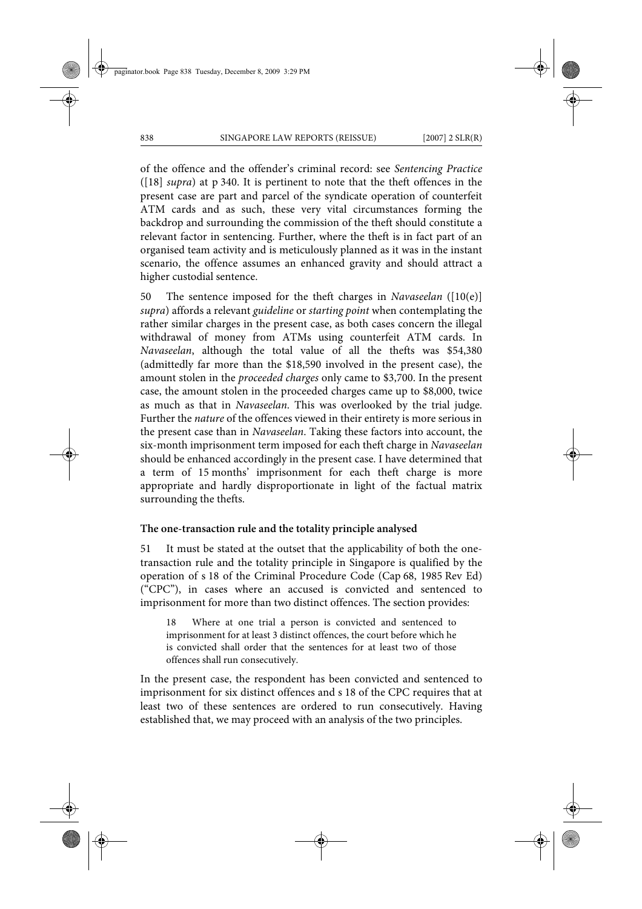of the offence and the offender's criminal record: see *Sentencing Practice* ([18] *supra*) at p 340. It is pertinent to note that the theft offences in the present case are part and parcel of the syndicate operation of counterfeit ATM cards and as such, these very vital circumstances forming the backdrop and surrounding the commission of the theft should constitute a relevant factor in sentencing. Further, where the theft is in fact part of an organised team activity and is meticulously planned as it was in the instant scenario, the offence assumes an enhanced gravity and should attract a higher custodial sentence.

50 The sentence imposed for the theft charges in *Navaseelan* ([10(e)] *supra*) affords a relevant *guideline* or *starting point* when contemplating the rather similar charges in the present case, as both cases concern the illegal withdrawal of money from ATMs using counterfeit ATM cards. In *Navaseelan*, although the total value of all the thefts was \$54,380 (admittedly far more than the \$18,590 involved in the present case), the amount stolen in the *proceeded charges* only came to \$3,700. In the present case, the amount stolen in the proceeded charges came up to \$8,000, twice as much as that in *Navaseelan*. This was overlooked by the trial judge. Further the *nature* of the offences viewed in their entirety is more serious in the present case than in *Navaseelan*. Taking these factors into account, the six-month imprisonment term imposed for each theft charge in *Navaseelan* should be enhanced accordingly in the present case. I have determined that a term of 15 months' imprisonment for each theft charge is more appropriate and hardly disproportionate in light of the factual matrix surrounding the thefts.

#### **The one-transaction rule and the totality principle analysed**

51 It must be stated at the outset that the applicability of both the onetransaction rule and the totality principle in Singapore is qualified by the operation of s 18 of the Criminal Procedure Code (Cap 68, 1985 Rev Ed) ("CPC"), in cases where an accused is convicted and sentenced to imprisonment for more than two distinct offences. The section provides:

18 Where at one trial a person is convicted and sentenced to imprisonment for at least 3 distinct offences, the court before which he is convicted shall order that the sentences for at least two of those offences shall run consecutively.

In the present case, the respondent has been convicted and sentenced to imprisonment for six distinct offences and s 18 of the CPC requires that at least two of these sentences are ordered to run consecutively. Having established that, we may proceed with an analysis of the two principles.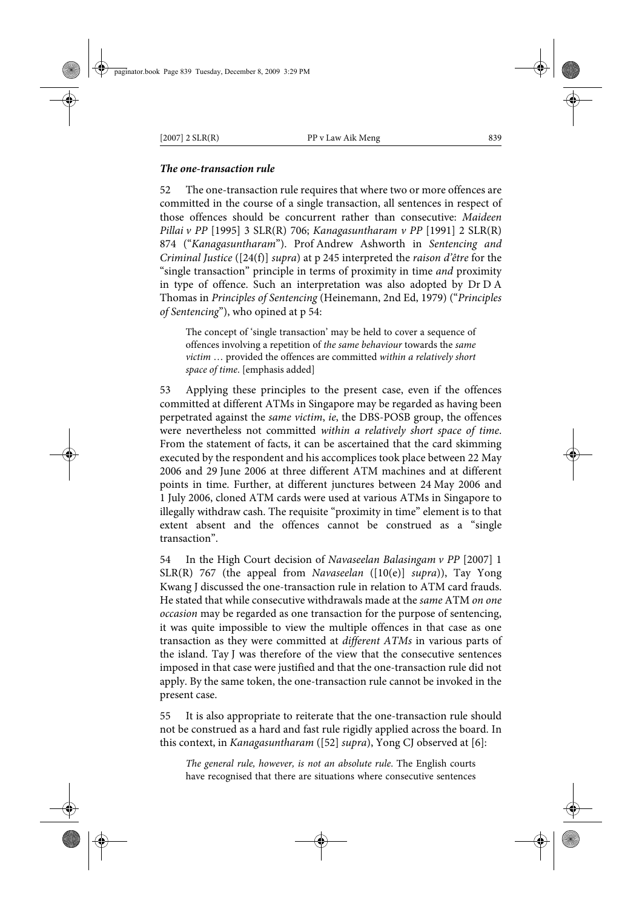# *The one-transaction rule*

52 The one-transaction rule requires that where two or more offences are committed in the course of a single transaction, all sentences in respect of those offences should be concurrent rather than consecutive: *Maideen Pillai v PP* [1995] 3 SLR(R) 706; *Kanagasuntharam v PP* [1991] 2 SLR(R) 874 ("*Kanagasuntharam*"). Prof Andrew Ashworth in *Sentencing and Criminal Justice* ([24(f)] *supra*) at p 245 interpreted the *raison d'être* for the "single transaction" principle in terms of proximity in time *and* proximity in type of offence. Such an interpretation was also adopted by Dr D A Thomas in *Principles of Sentencing* (Heinemann, 2nd Ed, 1979) ("*Principles of Sentencing*"), who opined at p 54:

The concept of 'single transaction' may be held to cover a sequence of offences involving a repetition of *the same behaviour* towards the *same victim* … provided the offences are committed *within a relatively short space of time*. [emphasis added]

53 Applying these principles to the present case, even if the offences committed at different ATMs in Singapore may be regarded as having been perpetrated against the *same victim*, *ie*, the DBS-POSB group, the offences were nevertheless not committed *within a relatively short space of time*. From the statement of facts, it can be ascertained that the card skimming executed by the respondent and his accomplices took place between 22 May 2006 and 29 June 2006 at three different ATM machines and at different points in time. Further, at different junctures between 24 May 2006 and 1 July 2006, cloned ATM cards were used at various ATMs in Singapore to illegally withdraw cash. The requisite "proximity in time" element is to that extent absent and the offences cannot be construed as a "single transaction".

54 In the High Court decision of *Navaseelan Balasingam v PP* [2007] 1 SLR(R) 767 (the appeal from *Navaseelan* ([10(e)] *supra*)), Tay Yong Kwang J discussed the one-transaction rule in relation to ATM card frauds. He stated that while consecutive withdrawals made at the *same* ATM *on one occasion* may be regarded as one transaction for the purpose of sentencing, it was quite impossible to view the multiple offences in that case as one transaction as they were committed at *different ATMs* in various parts of the island. Tay J was therefore of the view that the consecutive sentences imposed in that case were justified and that the one-transaction rule did not apply. By the same token, the one-transaction rule cannot be invoked in the present case.

55 It is also appropriate to reiterate that the one-transaction rule should not be construed as a hard and fast rule rigidly applied across the board. In this context, in *Kanagasuntharam* ([52] *supra*), Yong CJ observed at [6]:

*The general rule, however, is not an absolute rule*. The English courts have recognised that there are situations where consecutive sentences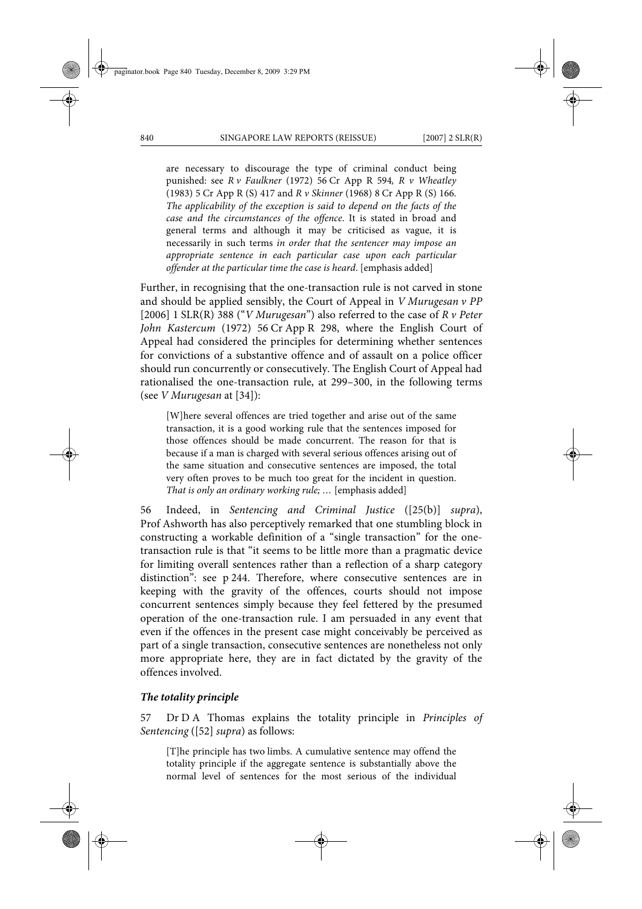are necessary to discourage the type of criminal conduct being punished: see *R v Faulkner* (1972) 56 Cr App R 594*, R v Wheatley* (1983) 5 Cr App R (S) 417 and *R v Skinner* (1968) 8 Cr App R (S) 166. *The applicability of the exception is said to depend on the facts of the case and the circumstances of the offence*. It is stated in broad and general terms and although it may be criticised as vague, it is necessarily in such terms *in order that the sentencer may impose an appropriate sentence in each particular case upon each particular offender at the particular time the case is heard*. [emphasis added]

Further, in recognising that the one-transaction rule is not carved in stone and should be applied sensibly, the Court of Appeal in *V Murugesan v PP* [2006] 1 SLR(R) 388 ("*V Murugesan*") also referred to the case of *R v Peter John Kastercum* (1972) 56 Cr App R 298, where the English Court of Appeal had considered the principles for determining whether sentences for convictions of a substantive offence and of assault on a police officer should run concurrently or consecutively. The English Court of Appeal had rationalised the one-transaction rule, at 299–300, in the following terms (see *V Murugesan* at [34]):

[W]here several offences are tried together and arise out of the same transaction, it is a good working rule that the sentences imposed for those offences should be made concurrent. The reason for that is because if a man is charged with several serious offences arising out of the same situation and consecutive sentences are imposed, the total very often proves to be much too great for the incident in question. *That is only an ordinary working rule; …* [emphasis added]

56 Indeed, in *Sentencing and Criminal Justice* ([25(b)] *supra*), Prof Ashworth has also perceptively remarked that one stumbling block in constructing a workable definition of a "single transaction" for the onetransaction rule is that "it seems to be little more than a pragmatic device for limiting overall sentences rather than a reflection of a sharp category distinction": see p 244. Therefore, where consecutive sentences are in keeping with the gravity of the offences, courts should not impose concurrent sentences simply because they feel fettered by the presumed operation of the one-transaction rule. I am persuaded in any event that even if the offences in the present case might conceivably be perceived as part of a single transaction, consecutive sentences are nonetheless not only more appropriate here, they are in fact dictated by the gravity of the offences involved.

#### *The totality principle*

57 Dr D A Thomas explains the totality principle in *Principles of Sentencing* ([52] *supra*) as follows:

[T]he principle has two limbs. A cumulative sentence may offend the totality principle if the aggregate sentence is substantially above the normal level of sentences for the most serious of the individual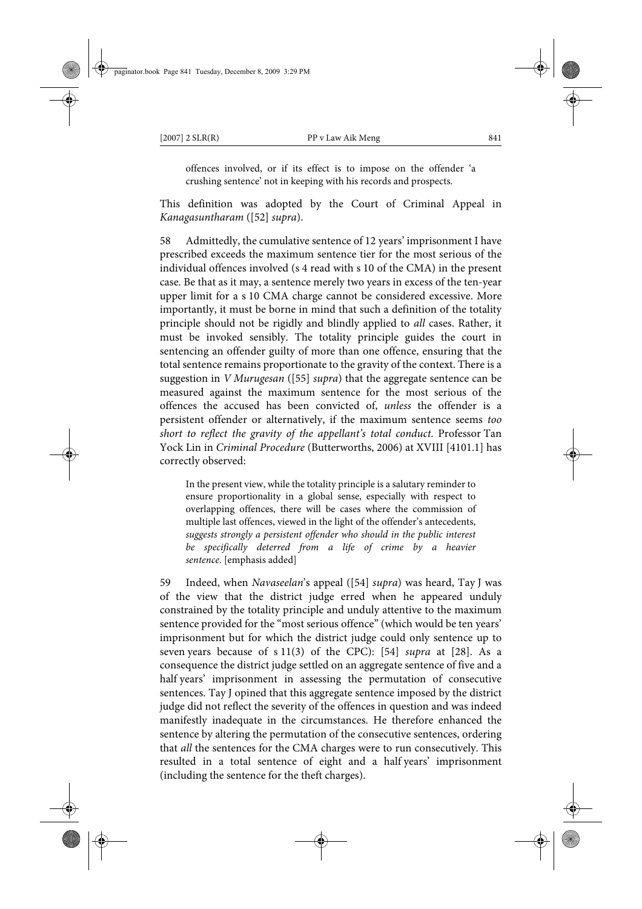offences involved, or if its effect is to impose on the offender 'a crushing sentence' not in keeping with his records and prospects.

This definition was adopted by the Court of Criminal Appeal in *Kanagasuntharam* ([52] *supra*).

58 Admittedly, the cumulative sentence of 12 years' imprisonment I have prescribed exceeds the maximum sentence tier for the most serious of the individual offences involved (s 4 read with s 10 of the CMA) in the present case. Be that as it may, a sentence merely two years in excess of the ten-year upper limit for a s 10 CMA charge cannot be considered excessive. More importantly, it must be borne in mind that such a definition of the totality principle should not be rigidly and blindly applied to *all* cases. Rather, it must be invoked sensibly. The totality principle guides the court in sentencing an offender guilty of more than one offence, ensuring that the total sentence remains proportionate to the gravity of the context. There is a suggestion in *V Murugesan* ([55] *supra*) that the aggregate sentence can be measured against the maximum sentence for the most serious of the offences the accused has been convicted of, *unless* the offender is a persistent offender or alternatively, if the maximum sentence seems *too short to reflect the gravity of the appellant's total conduct*. Professor Tan Yock Lin in *Criminal Procedure* (Butterworths, 2006) at XVIII [4101.1] has correctly observed:

In the present view, while the totality principle is a salutary reminder to ensure proportionality in a global sense, especially with respect to overlapping offences, there will be cases where the commission of multiple last offences, viewed in the light of the offender's antecedents, *suggests strongly a persistent offender who should in the public interest be specifically deterred from a life of crime by a heavier sentence*. [emphasis added]

59 Indeed, when *Navaseelan*'s appeal ([54] *supra*) was heard, Tay J was of the view that the district judge erred when he appeared unduly constrained by the totality principle and unduly attentive to the maximum sentence provided for the "most serious offence" (which would be ten years' imprisonment but for which the district judge could only sentence up to seven years because of s 11(3) of the CPC): [54] *supra* at [28]. As a consequence the district judge settled on an aggregate sentence of five and a half years' imprisonment in assessing the permutation of consecutive sentences. Tay J opined that this aggregate sentence imposed by the district judge did not reflect the severity of the offences in question and was indeed manifestly inadequate in the circumstances. He therefore enhanced the sentence by altering the permutation of the consecutive sentences, ordering that *all* the sentences for the CMA charges were to run consecutively. This resulted in a total sentence of eight and a half years' imprisonment (including the sentence for the theft charges).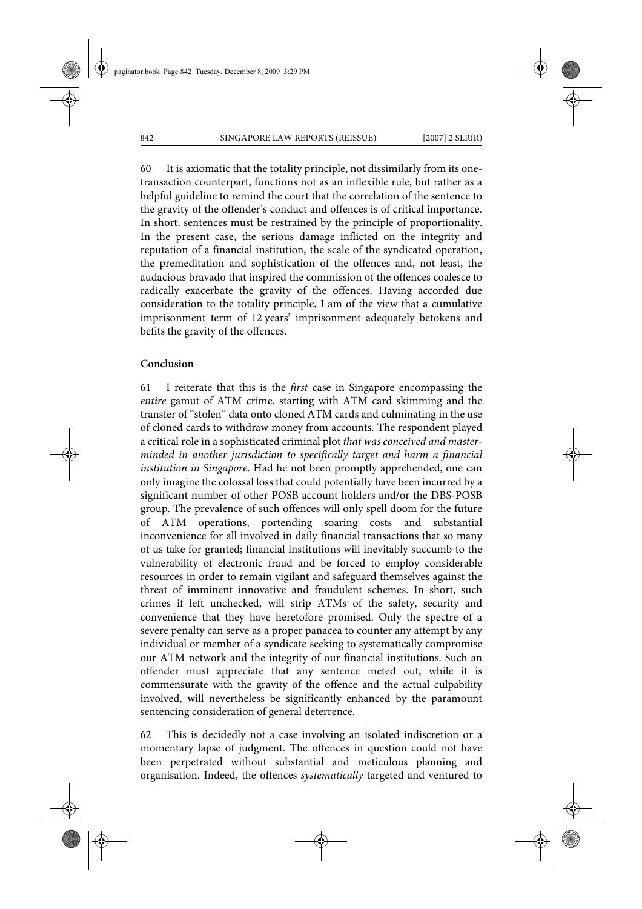60 It is axiomatic that the totality principle, not dissimilarly from its onetransaction counterpart, functions not as an inflexible rule, but rather as a helpful guideline to remind the court that the correlation of the sentence to the gravity of the offender's conduct and offences is of critical importance. In short, sentences must be restrained by the principle of proportionality. In the present case, the serious damage inflicted on the integrity and reputation of a financial institution, the scale of the syndicated operation, the premeditation and sophistication of the offences and, not least, the audacious bravado that inspired the commission of the offences coalesce to radically exacerbate the gravity of the offences. Having accorded due consideration to the totality principle, I am of the view that a cumulative imprisonment term of 12 years' imprisonment adequately betokens and befits the gravity of the offences.

# **Conclusion**

61 I reiterate that this is the *first* case in Singapore encompassing the *entire* gamut of ATM crime, starting with ATM card skimming and the transfer of "stolen" data onto cloned ATM cards and culminating in the use of cloned cards to withdraw money from accounts. The respondent played a critical role in a sophisticated criminal plot *that was conceived and masterminded in another jurisdiction to specifically target and harm a financial institution in Singapore*. Had he not been promptly apprehended, one can only imagine the colossal loss that could potentially have been incurred by a significant number of other POSB account holders and/or the DBS-POSB group. The prevalence of such offences will only spell doom for the future of ATM operations, portending soaring costs and substantial inconvenience for all involved in daily financial transactions that so many of us take for granted; financial institutions will inevitably succumb to the vulnerability of electronic fraud and be forced to employ considerable resources in order to remain vigilant and safeguard themselves against the threat of imminent innovative and fraudulent schemes. In short, such crimes if left unchecked, will strip ATMs of the safety, security and convenience that they have heretofore promised. Only the spectre of a severe penalty can serve as a proper panacea to counter any attempt by any individual or member of a syndicate seeking to systematically compromise our ATM network and the integrity of our financial institutions. Such an offender must appreciate that any sentence meted out, while it is commensurate with the gravity of the offence and the actual culpability involved, will nevertheless be significantly enhanced by the paramount sentencing consideration of general deterrence.

62 This is decidedly not a case involving an isolated indiscretion or a momentary lapse of judgment. The offences in question could not have been perpetrated without substantial and meticulous planning and organisation. Indeed, the offences *systematically* targeted and ventured to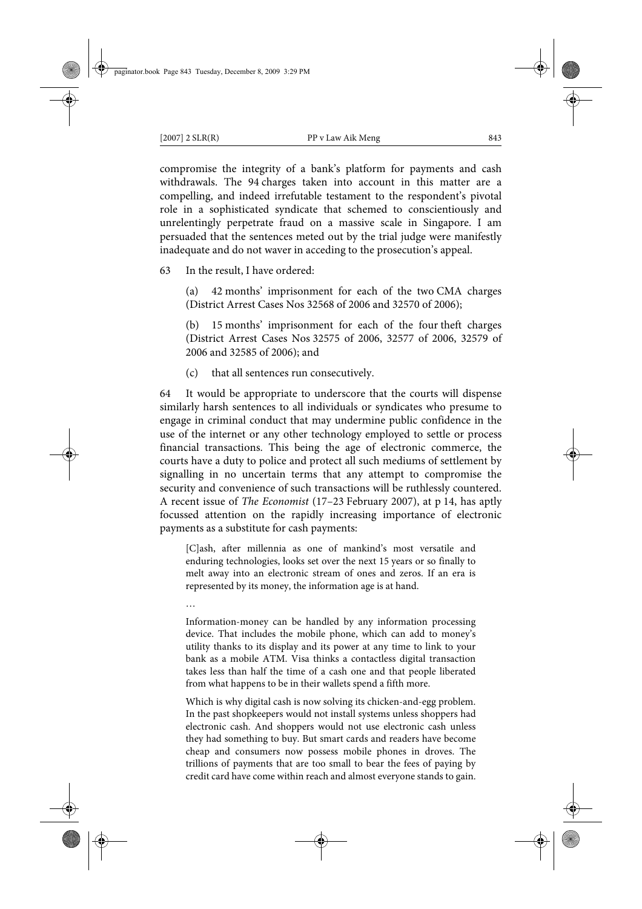compromise the integrity of a bank's platform for payments and cash withdrawals. The 94 charges taken into account in this matter are a compelling, and indeed irrefutable testament to the respondent's pivotal role in a sophisticated syndicate that schemed to conscientiously and unrelentingly perpetrate fraud on a massive scale in Singapore. I am persuaded that the sentences meted out by the trial judge were manifestly inadequate and do not waver in acceding to the prosecution's appeal.

63 In the result, I have ordered:

(a) 42 months' imprisonment for each of the two CMA charges (District Arrest Cases Nos 32568 of 2006 and 32570 of 2006);

(b) 15 months' imprisonment for each of the four theft charges (District Arrest Cases Nos 32575 of 2006, 32577 of 2006, 32579 of 2006 and 32585 of 2006); and

(c) that all sentences run consecutively.

64 It would be appropriate to underscore that the courts will dispense similarly harsh sentences to all individuals or syndicates who presume to engage in criminal conduct that may undermine public confidence in the use of the internet or any other technology employed to settle or process financial transactions. This being the age of electronic commerce, the courts have a duty to police and protect all such mediums of settlement by signalling in no uncertain terms that any attempt to compromise the security and convenience of such transactions will be ruthlessly countered. A recent issue of *The Economist* (17–23 February 2007), at p 14, has aptly focussed attention on the rapidly increasing importance of electronic payments as a substitute for cash payments:

[C]ash, after millennia as one of mankind's most versatile and enduring technologies, looks set over the next 15 years or so finally to melt away into an electronic stream of ones and zeros. If an era is represented by its money, the information age is at hand.

…

Information-money can be handled by any information processing device. That includes the mobile phone, which can add to money's utility thanks to its display and its power at any time to link to your bank as a mobile ATM. Visa thinks a contactless digital transaction takes less than half the time of a cash one and that people liberated from what happens to be in their wallets spend a fifth more.

Which is why digital cash is now solving its chicken-and-egg problem. In the past shopkeepers would not install systems unless shoppers had electronic cash. And shoppers would not use electronic cash unless they had something to buy. But smart cards and readers have become cheap and consumers now possess mobile phones in droves. The trillions of payments that are too small to bear the fees of paying by credit card have come within reach and almost everyone stands to gain.